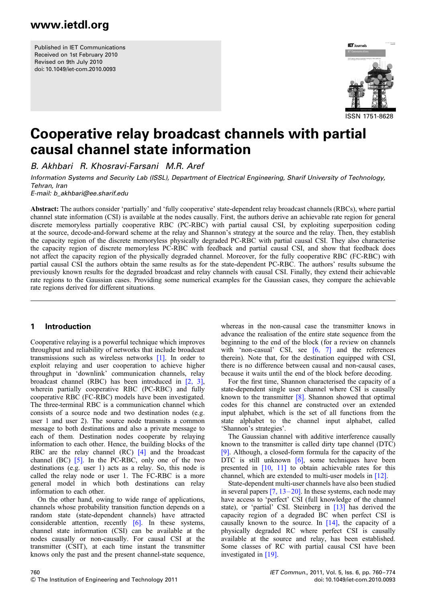Published in IET Communications Received on 1st February 2010 Revised on 9th July 2010 doi: 10.1049/iet-com.2010.0093



# Cooperative relay broadcast channels with partial causal channel state information

B. Akhbari R. Khosravi-Farsani M.R. Aref

Information Systems and Security Lab (ISSL), Department of Electrical Engineering, Sharif University of Technology, Tehran, Iran

E-mail: b\_akhbari@ee.sharif.edu

Abstract: The authors consider 'partially' and 'fully cooperative' state-dependent relay broadcast channels (RBCs), where partial channel state information (CSI) is available at the nodes causally. First, the authors derive an achievable rate region for general discrete memoryless partially cooperative RBC (PC-RBC) with partial causal CSI, by exploiting superposition coding at the source, decode-and-forward scheme at the relay and Shannon's strategy at the source and the relay. Then, they establish the capacity region of the discrete memoryless physically degraded PC-RBC with partial causal CSI. They also characterise the capacity region of discrete memoryless PC-RBC with feedback and partial causal CSI, and show that feedback does not affect the capacity region of the physically degraded channel. Moreover, for the fully cooperative RBC (FC-RBC) with partial causal CSI the authors obtain the same results as for the state-dependent PC-RBC. The authors' results subsume the previously known results for the degraded broadcast and relay channels with causal CSI. Finally, they extend their achievable rate regions to the Gaussian cases. Providing some numerical examples for the Gaussian cases, they compare the achievable rate regions derived for different situations.

### 1 Introduction

Cooperative relaying is a powerful technique which improves throughput and reliability of networks that include broadcast transmissions such as wireless networks [\[1\]](#page-13-0). In order to exploit relaying and user cooperation to achieve higher throughput in 'downlink' communication channels, relay broadcast channel (RBC) has been introduced in [\[2, 3\],](#page-13-0) wherein partially cooperative RBC (PC-RBC) and fully cooperative RBC (FC-RBC) models have been investigated. The three-terminal RBC is a communication channel which consists of a source node and two destination nodes (e.g. user 1 and user 2). The source node transmits a common message to both destinations and also a private message to each of them. Destination nodes cooperate by relaying information to each other. Hence, the building blocks of the RBC are the relay channel (RC) [\[4\]](#page-13-0) and the broadcast channel (BC)  $\boxed{5}$ . In the PC-RBC, only one of the two destinations (e.g. user 1) acts as a relay. So, this node is called the relay node or user 1. The FC-RBC is a more general model in which both destinations can relay information to each other.

On the other hand, owing to wide range of applications, channels whose probability transition function depends on a random state (state-dependent channels) have attracted considerable attention, recently [\[6\]](#page-13-0). In these systems, channel state information (CSI) can be available at the nodes causally or non-causally. For causal CSI at the transmitter (CSIT), at each time instant the transmitter knows only the past and the present channel-state sequence,

whereas in the non-causal case the transmitter knows in advance the realisation of the entire state sequence from the beginning to the end of the block (for a review on channels with 'non-casual' CSI, see [\[6, 7\]](#page-13-0) and the references therein). Note that, for the destination equipped with CSI, there is no difference between causal and non-causal cases, because it waits until the end of the block before decoding.

For the first time, Shannon characterised the capacity of a state-dependent single user channel where CSI is causally known to the transmitter [\[8\]](#page-13-0). Shannon showed that optimal codes for this channel are constructed over an extended input alphabet, which is the set of all functions from the state alphabet to the channel input alphabet, called 'Shannon's strategies'.

The Gaussian channel with additive interference causally known to the transmitter is called dirty tape channel (DTC) [\[9\]](#page-13-0). Although, a closed-form formula for the capacity of the DTC is still unknown [\[6\]](#page-13-0), some techniques have been presented in [\[10, 11\]](#page-13-0) to obtain achievable rates for this channel, which are extended to multi-user models in [\[12\]](#page-13-0).

State-dependent multi-user channels have also been studied in several papers  $[7, 13-20]$ . In these systems, each node may have access to 'perfect' CSI (full knowledge of the channel state), or 'partial' CSI. Steinberg in [\[13\]](#page-13-0) has derived the capacity region of a degraded BC when perfect CSI is causally known to the source. In  $[14]$ , the capacity of a physically degraded RC where perfect CSI is causally available at the source and relay, has been established. Some classes of RC with partial causal CSI have been investigated in [\[19\].](#page-13-0)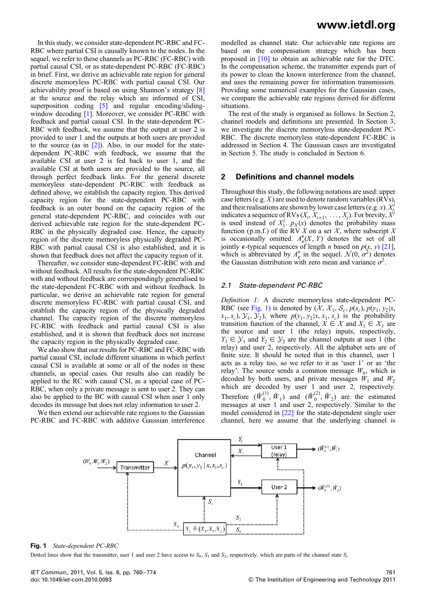<span id="page-1-0"></span>In this study, we consider state-dependent PC-RBC and FC-RBC where partial CSI is causally known to the nodes. In the sequel, we refer to these channels as PC-RBC (FC-RBC) with partial causal CSI, or as state-dependent PC-RBC (FC-RBC) in brief. First, we derive an achievable rate region for general discrete memoryless PC-RBC with partial causal CSI. Our achievability proof is based on using Shannon's strategy [\[8\]](#page-13-0) at the source and the relay which are informed of CSI, superposition coding [\[5\]](#page-13-0) and regular encoding/sliding-window decoding [\[1\].](#page-13-0) Moreover, we consider PC-RBC with feedback and partial casual CSI. In the state-dependent PC-RBC with feedback, we assume that the output at user 2 is provided to user 1 and the outputs at both users are provided to the source (as in  $[2]$ ). Also, in our model for the statedependent PC-RBC with feedback, we assume that the available CSI at user 2 is fed back to user 1, and the available CSI at both users are provided to the source, all through perfect feedback links. For the general discrete memoryless state-dependent PC-RBC with feedback as defined above, we establish the capacity region. This derived capacity region for the state-dependent PC-RBC with feedback is an outer bound on the capacity region of the general state-dependent PC-RBC, and coincides with our derived achievable rate region for the state-dependent PC-RBC in the physically degraded case. Hence, the capacity region of the discrete memoryless physically degraded PC-RBC with partial causal CSI is also established, and it is shown that feedback does not affect the capacity region of it.

Thereafter, we consider state-dependent FC-RBC with and without feedback. All results for the state-dependent PC-RBC with and without feedback are correspondingly generalised to the state-dependent FC-RBC with and without feedback. In particular, we derive an achievable rate region for general discrete memoryless FC-RBC with partial causal CSI, and establish the capacity region of the physically degraded channel. The capacity region of the discrete memoryless FC-RBC with feedback and partial causal CSI is also established, and it is shown that feedback does not increase the capacity region in the physically degraded case.

We also show that our results for PC-RBC and FC-RBC with partial causal CSI, include different situations in which perfect causal CSI is available at some or all of the nodes in these channels, as special cases. Our results also can readily be applied to the RC with causal CSI, as a special case of PC-RBC, when only a private message is sent to user 2. They can also be applied to the BC with causal CSI when user 1 only decodes its message but does not relay information to user 2.

We then extend our achievable rate regions to the Gaussian PC-RBC and FC-RBC with additive Gaussian interference

modelled as channel state. Our achievable rate regions are based on the compensation strategy which has been proposed in [\[10\]](#page-13-0) to obtain an achievable rate for the DTC. In the compensation scheme, the transmitter expends part of its power to clean the known interference from the channel, and uses the remaining power for information transmission. Providing some numerical examples for the Gaussian cases, we compare the achievable rate regions derived for different situations.

The rest of the study is organised as follows. In Section 2, channel models and definitions are presented. In Section 3, we investigate the discrete memoryless state-dependent PC-RBC. The discrete memoryless state-dependent FC-RBC is addressed in Section 4. The Gaussian cases are investigated in Section 5. The study is concluded in Section 6.

### 2 Definitions and channel models

Throughout this study, the following notations are used: upper case letters (e.g.  $X$ ) are used to denote random variables (RVs), and their realisations are shown by lower case letters (e.g. x).  $X_i^j$ indicates a sequence of RVs  $(X_i, X_{i+1}, \ldots, X_j)$ . For brevity,  $X^j$ is used instead of  $X_1^j$ .  $p_X(x)$  denotes the probability mass function (p.m.f.) of the RV X on a set X, where subscript X is occasionally omitted.  $A^n_{\epsilon}(X, Y)$  denotes the set of all jointly  $\epsilon$ -typical sequences of length *n* based on  $p(x, y)$  [\[21\]](#page-13-0), which is abbreviated by  $A_{\epsilon}^{n}$  in the sequel.  $\mathcal{N}(0, \sigma^{2})$  denotes the Gaussian distribution with zero mean and variance  $\sigma^2$ .

### 2.1 State-dependent PC-RBC

Definition 1: A discrete memoryless state-dependent PC-RBC (see Fig. 1) is denoted by  $(\mathcal{X}, \mathcal{X}_1, \mathcal{S}_c, p(s_c), p(y_1, y_2|x,$  $x_1, s_c$ ,  $y_1, y_2$ , where  $p(y_1, y_2|x, x_1, s_c)$  is the probability transition function of the channel,  $\overline{X} \in \mathcal{X}$  and  $\overline{X_1} \in \mathcal{X}_1$  are the source and user 1 (the relay) inputs, respectively,  $Y_1 \in \mathcal{Y}_1$  and  $Y_2 \in \mathcal{Y}_2$  are the channel outputs at user 1 (the relay) and user 2, respectively. All the alphabet sets are of finite size. It should be noted that in this channel, user 1 acts as a relay too, so we refer to it as 'user 1' or as 'the relay'. The source sends a common message  $W_0$ , which is decoded by both users, and private messages  $W_1$  and  $W_2$ which are decoded by user 1 and user 2, respectively. Therefore  $(\hat{W}_0^{(1)}, \hat{W}_1)$  and  $(\hat{W}_0^{(2)}, \hat{W}_2)$  are the estimated messages at user 1 and user 2, respectively. Similar to the model considered in [\[22\]](#page-14-0) for the state-dependent single user channel, here we assume that the underlying channel is



Fig. 1 State-dependent PC-RBC

Dotted lines show that the transmitter, user 1 and user 2 have access to  $S_0$ ,  $S_1$  and  $S_2$ , respectively, which are parts of the channel state  $S_c$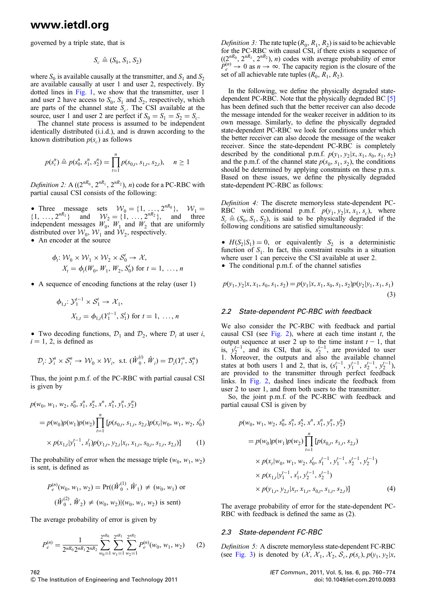governed by a triple state, that is

$$
S_c \triangleq (S_0, S_1, S_2)
$$

where  $S_0$  is available causally at the transmitter, and  $S_1$  and  $S_2$ are available causally at user 1 and user 2, respectively. By dotted lines in [Fig. 1](#page-1-0), we show that the transmitter, user 1 and user 2 have access to  $S_0$ ,  $S_1$  and  $S_2$ , respectively, which are parts of the channel state  $S_c$ . The CSI available at the source, user 1 and user 2 are perfect if  $S_0 = S_1 = S_2 = S_c$ .

The channel state process is assumed to be independent identically distributed (i.i.d.), and is drawn according to the known distribution  $p(s<sub>c</sub>)$  as follows

$$
p(scn) \triangleq p(s0n, s1n, s2n) = \prod_{t=1}^{n} p(s0,t, s1,t, s2,t), \quad n \ge 1
$$

Definition 2: A  $((2^{nR_0}, 2^{nR_1}, 2^{nR_2}), n)$  code for a PC-RBC with partial causal CSI consists of the following:

• Three message sets  $W_0 = \{1, \ldots, 2^{nR_0}\}, W_1 =$  $\{1, \ldots, 2^{nR_1}\}$  and  $W_2 = \{1, \ldots, 2^{nR_2}\}$ , and three independent messages  $W_0$ ,  $W_1$  and  $W_2$  that are uniformly distributed over  $W_0$ ,  $W_1$  and  $W_2$ , respectively.

• An encoder at the source

$$
\phi_t: \mathcal{W}_0 \times \mathcal{W}_1 \times \mathcal{W}_2 \times \mathcal{S}_0' \to \mathcal{X},
$$
  

$$
X_t = \phi_t(W_0, W_1, W_2, S_0') \text{ for } t = 1, \dots, n
$$

• A sequence of encoding functions at the relay (user 1)

$$
\phi_{1,t}: \mathcal{Y}_1^{t-1} \times \mathcal{S}_1^t \to \mathcal{X}_1,
$$
  
\n $X_{1,t} = \phi_{1,t}(Y_1^{t-1}, \mathcal{S}_1^t)$  for  $t = 1, ..., n$ 

• Two decoding functions,  $\mathcal{D}_1$  and  $\mathcal{D}_2$ , where  $\mathcal{D}_i$  at user i,  $i = 1, 2$ , is defined as

$$
\mathcal{D}_i: \mathcal{Y}_i^n \times \mathcal{S}_i^n \to \mathcal{W}_0 \times \mathcal{W}_i, \text{ s.t. } (\hat{W}_0^{(i)}, \hat{W}_i) = \mathcal{D}_i(Y_i^n, S_i^n)
$$

Thus, the joint p.m.f. of the PC-RBC with partial causal CSI is given by

$$
p(w_0, w_1, w_2, s_0^n, s_1^n, s_2^n, x^n, x_1^n, y_1^n, y_2^n)
$$
  
=  $p(w_0)p(w_1)p(w_2)\prod_{t=1}^n [p(s_{0,t}, s_{1,t}, s_{2,t})p(x_t|w_0, w_1, w_2, s_0^n)]$   
 $\times p(x_t|y_t^{t-1}, s_t^t)p(y_t, y_t|y_t, x_t, s_0, s_0, s_0^n)]$  (1)

$$
\times p(x_{1,t}|y_1^{t-1}, s_1')p(y_{1,t}, y_{2,t}|x_t, x_{1,t}, s_{0,t}, s_{1,t}, s_{2,t})]
$$
(1)

The probability of error when the message triple  $(w_0, w_1, w_2)$ is sent, is defined as

$$
P_e^{(n)}(w_0, w_1, w_2) = \Pr((\hat{W}_0^{(1)}, \hat{W}_1) \neq (w_0, w_1) \text{ or } (\hat{W}_0^{(2)}, \hat{W}_2) \neq (w_0, w_2) | (w_0, w_1, w_2) \text{ is sent})
$$

The average probability of error is given by

$$
P_e^{(n)} = \frac{1}{2^{nR_0} 2^{nR_1} 2^{nR_2}} \sum_{w_0=1}^{2^{nR_0}} \sum_{w_1=1}^{2^{nR_1}} \sum_{w_2=1}^{2^{nR_2}} P_e^{(n)}(w_0, w_1, w_2)
$$
 (2)

*Definition 3:* The rate tuple  $(R_0, R_1, R_2)$  is said to be achievable for the PC-RBC with causal CSI, if there exists a sequence of  $((2^{nR_0}, 2^{nR_1}, 2^{nR_2}), n)$  codes with average probability of error  $P_e^{(n)} \to 0$  as  $n \to \infty$ . The capacity region is the closure of the set of all achievable rate tuples  $(R_0, R_1, R_2)$ .

In the following, we define the physically degraded statedependent PC-RBC. Note that the physically degraded BC [\[5\]](#page-13-0) has been defined such that the better receiver can also decode the message intended for the weaker receiver in addition to its own message. Similarly, to define the physically degraded state-dependent PC-RBC we look for conditions under which the better receiver can also decode the message of the weaker receiver. Since the state-dependent PC-RBC is completely described by the conditional p.m.f.  $p(y_1, y_2|x, x_1, s_0, s_1, s_2)$ and the p.m.f. of the channel state  $p(s_0, s_1, s_2)$ , the conditions should be determined by applying constraints on these p.m.s. Based on these issues, we define the physically degraded state-dependent PC-RBC as follows:

Definition 4: The discrete memoryless state-dependent PC-RBC with conditional p.m.f.  $p(y_1, y_2|x, x_1, s_c)$ , where  $S_c \triangleq (S_0, S_1, S_2)$ , is said to be physically degraded if the following conditions are satisfied simultaneously:

•  $H(S_2|S_1) = 0$ , or equivalently  $S_2$  is a deterministic function of  $S_1$ . In fact, this constraint results in a situation where user 1 can perceive the CSI available at user 2.

• The conditional p.m.f. of the channel satisfies

$$
p(y_1, y_2 | x, x_1, s_0, s_1, s_2) = p(y_1 | x, x_1, s_0, s_1, s_2) p(y_2 | y_1, x_1, s_1)
$$
\n(3)

### 2.2 State-dependent PC-RBC with feedback

We also consider the PC-RBC with feedback and partial causal CSI (see [Fig. 2](#page-3-0)), where at each time instant  $t$ , the output sequence at user 2 up to the time instant  $t - 1$ , that is,  $y_2^{t-1}$ , and its CSI, that is,  $s_2^{t-1}$ , are provided to user 1. Moreover, the outputs and also the available channel states at both users 1 and 2, that is,  $(s_1^{t-1}, y_1^{t-1}, s_2^{t-1}, y_2^{t-1})$ , are provided to the transmitter through perfect feedback links. In [Fig. 2](#page-3-0), dashed lines indicate the feedback from user 2 to user 1, and from both users to the transmitter.

So, the joint p.m.f. of the PC-RBC with feedback and partial causal CSI is given by

$$
p(w_0, w_1, w_2, s_0^n, s_1^n, s_2^n, x^n, x_1^n, y_1^n, y_2^n)
$$
  
=  $p(w_0)p(w_1)p(w_2)\prod_{t=1}^n [p(s_{0,t}, s_{1,t}, s_{2,t})$   
 $\times p(x_t|w_0, w_1, w_2, s_0^t, s_1^{t-1}, y_1^{t-1}, s_2^{t-1}, y_2^{t-1})$   
 $\times p(x_{1,t}|y_1^{t-1}, s_1^t, y_2^{t-1}, s_2^{t-1})$   
 $\times p(y_{1,t}, y_{2,t}|x_t, x_{1,t}, s_{0,t}, s_{1,t}, s_{2,t})]$  (4)

The average probability of error for the state-dependent PC-RBC with feedback is defined the same as (2).

### 2.3 State-dependent FC-RBC

Definition 5: A discrete memoryless state-dependent FC-RBC (see [Fig. 3\)](#page-3-0) is denoted by  $(\mathcal{X}, \mathcal{X}_1, \mathcal{X}_2, \mathcal{S}_c, p(s_c), p(y_1, y_2|x,$ 

 $\degree$  The Institution of Engineering and Technology 2011 doi: 10.1049/iet-com.2010.0093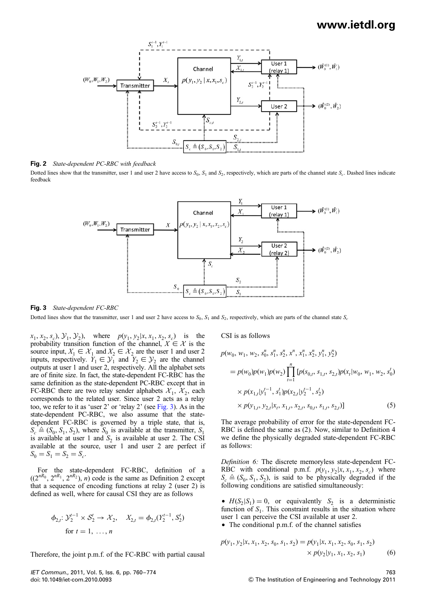<span id="page-3-0"></span>

Fig. 2 State-dependent PC-RBC with feedback

Dotted lines show that the transmitter, user 1 and user 2 have access to  $S_0$ ,  $S_1$  and  $S_2$ , respectively, which are parts of the channel state  $S_c$ . Dashed lines indicate feedback



### Fig. 3 State-dependent FC-RBC

Dotted lines show that the transmitter, user 1 and user 2 have access to  $S_0$ ,  $S_1$  and  $S_2$ , respectively, which are parts of the channel state  $S_c$ 

 $x_1, x_2, s_c$ ,  $y_1, y_2$ , where  $p(y_1, y_2 | x, x_1, x_2, s_c)$  is the probability transition function of the channel,  $X \in \mathcal{X}$  is the source input,  $X_1 \in \mathcal{X}_1$  and  $X_2 \in \mathcal{X}_2$  are the user 1 and user 2 inputs, respectively.  $Y_1 \in \mathcal{Y}_1$  and  $Y_2 \in \mathcal{Y}_2$  are the channel outputs at user 1 and user 2, respectively. All the alphabet sets are of finite size. In fact, the state-dependent FC-RBC has the same definition as the state-dependent PC-RBC except that in FC-RBC there are two relay sender alphabets  $\mathcal{X}_1$ ,  $\mathcal{X}_2$ , each corresponds to the related user. Since user 2 acts as a relay too, we refer to it as 'user 2' or 'relay 2' (see Fig. 3). As in the state-dependent PC-RBC, we also assume that the statedependent FC-RBC is governed by a triple state, that is,  $S_c \triangleq (S_0, S_1, S_2)$ , where  $S_0$  is available at the transmitter,  $S_1$ is available at user 1 and  $S_2$  is available at user 2. The CSI available at the source, user 1 and user 2 are perfect if  $S_0 = S_1 = S_2 = S_c$ .

For the state-dependent FC-RBC, definition of a  $((2^{nR_0}, 2^{nR_1}, 2^{nR_2}), n)$  code is the same as Definition 2 except that a sequence of encoding functions at relay 2 (user 2) is defined as well, where for causal CSI they are as follows

$$
\phi_{2,t}: \mathcal{Y}_2^{t-1} \times \mathcal{S}_2^t \to \mathcal{X}_2, \quad X_{2,t} = \phi_{2,t}(Y_2^{t-1}, S_2^t)
$$
  
for  $t = 1, ..., n$ 

Therefore, the joint p.m.f. of the FC-RBC with partial causal

CSI is as follows

$$
p(w_0, w_1, w_2, s_0^n, s_1^n, s_2^n, x^n, x_1^n, x_2^n, y_1^n, y_2^n)
$$
  
=  $p(w_0)p(w_1)p(w_2)\prod_{t=1}^n [p(s_{0,t}, s_{1,t}, s_{2,t})p(x_t|w_0, w_1, w_2, s_0^t)$   
 $\times p(x_{1,t}|y_1^{t-1}, s_1^t)p(x_{2,t}|y_2^{t-1}, s_2^t)$   
 $\times p(y_{1,t}, y_{2,t}|x_t, x_{1,t}, x_{2,t}, s_{0,t}, s_{1,t}, s_{2,t})]$  (5)

The average probability of error for the state-dependent FC-RBC is defined the same as (2). Now, similar to Definition 4 we define the physically degraded state-dependent FC-RBC as follows:

Definition 6: The discrete memoryless state-dependent FC-RBC with conditional p.m.f.  $p(y_1, y_2|x, x_1, x_2, s_c)$  where  $S_c \triangleq (S_0, S_1, S_2)$ , is said to be physically degraded if the following conditions are satisfied simultaneously:

•  $H(S_2|S_1) = 0$ , or equivalently  $S_2$  is a deterministic function of  $S<sub>1</sub>$ . This constraint results in the situation where user 1 can perceive the CSI available at user 2.

• The conditional p.m.f. of the channel satisfies

$$
p(y_1, y_2 | x, x_1, x_2, s_0, s_1, s_2) = p(y_1 | x, x_1, x_2, s_0, s_1, s_2)
$$
  
 
$$
\times p(y_2 | y_1, x_1, x_2, s_1)
$$
 (6)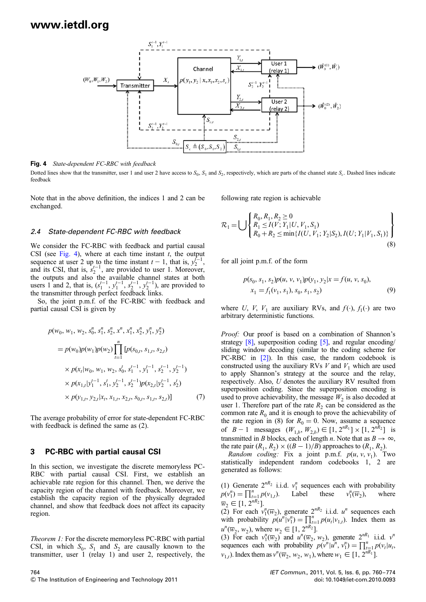

Fig. 4 State-dependent FC-RBC with feedback

Dotted lines show that the transmitter, user 1 and user 2 have access to  $S_0$ ,  $S_1$  and  $S_2$ , respectively, which are parts of the channel state  $S_c$ . Dashed lines indicate feedback

Note that in the above definition, the indices 1 and 2 can be exchanged.

### 2.4 State-dependent FC-RBC with feedback

We consider the FC-RBC with feedback and partial causal CSI (see Fig. 4), where at each time instant  $t$ , the output sequence at user 2 up to the time instant  $t-1$ , that is,  $y_2^{t-1}$ , and its CSI, that is,  $s_2^{t-1}$ , are provided to user 1. Moreover, the outputs and also the available channel states at both users 1 and 2, that is,  $(s_1^{t-1}, y_1^{t-1}, s_2^{t-1}, y_2^{t-1})$ , are provided to the transmitter through perfect feedback links.

So, the joint p.m.f. of the FC-RBC with feedback and partial causal CSI is given by

$$
p(w_0, w_1, w_2, s_0^n, s_1^n, s_2^n, x^n, x_1^n, x_2^n, y_1^n, y_2^n)
$$
  
=  $p(w_0)p(w_1)p(w_2)\prod_{t=1}^n [p(s_{0,t}, s_{1,t}, s_{2,t})$   
 $\times p(x_t|w_0, w_1, w_2, s_0^t, s_1^{t-1}, y_1^{t-1}, s_2^{t-1}, y_2^{t-1})$   
 $\times p(x_{1,t}|y_1^{t-1}, s_1^t, y_2^{t-1}, s_2^{t-1})p(x_{2,t}|y_2^{t-1}, s_2^t)$   
 $\times p(y_{1,t}, y_{2,t}|x_t, x_{1,t}, x_{2,t}, s_{0,t}, s_{1,t}, s_{2,t})$  (7)

The average probability of error for state-dependent FC-RBC with feedback is defined the same as (2).

### 3 PC-RBC with partial causal CSI

In this section, we investigate the discrete memoryless PC-RBC with partial causal CSI. First, we establish an achievable rate region for this channel. Then, we derive the capacity region of the channel with feedback. Moreover, we establish the capacity region of the physically degraded channel, and show that feedback does not affect its capacity region.

Theorem 1: For the discrete memoryless PC-RBC with partial CSI, in which  $S_0$ ,  $S_1$  and  $S_2$  are causally known to the transmitter, user 1 (relay 1) and user 2, respectively, the following rate region is achievable

$$
\mathcal{R}_1 = \bigcup \left\{ \begin{aligned} &R_0, R_1, R_2 \ge 0 \\ &R_1 \le I(V; Y_1 | U, V_1, S_1) \\ &R_0 + R_2 \le \min\{I(U, V_1; Y_2 | S_2), I(U; Y_1 | V_1, S_1)\} \\ & \tag{8}
$$

for all joint p.m.f. of the form

$$
p(s_0, s_1, s_2)p(u, v, v_1)p(v_1, y_2|x = f(u, v, s_0),
$$
  
\n
$$
x_1 = f_1(v_1, s_1), s_0, s_1, s_2)
$$
\n(9)

where U, V,  $V_1$  are auxiliary RVs, and  $f(\cdot)$ ,  $f_1(\cdot)$  are two arbitrary deterministic functions.

Proof: Our proof is based on a combination of Shannon's strategy [\[8\]](#page-13-0), superposition coding [\[5\],](#page-13-0) and regular encoding/ sliding window decoding (similar to the coding scheme for PC-RBC in [\[2\]](#page-13-0)). In this case, the random codebook is constructed using the auxiliary RVs  $V$  and  $V_1$  which are used to apply Shannon's strategy at the source and the relay, respectively. Also, U denotes the auxiliary RV resulted from superposition coding. Since the superposition encoding is used to prove achievability, the message  $W_2$  is also decoded at user 1. Therefore part of the rate  $R_2$  can be considered as the common rate  $R_0$  and it is enough to prove the achievability of the rate region in (8) for  $R_0 = 0$ . Now, assume a sequence of  $B - 1$  messages  $(W_{1,b}, W_{2,b}) \in [1, 2^{nR_1}] \times [1, 2^{nR_2}]$  is transmitted in B blocks, each of length n. Note that as  $B \to \infty$ , the rate pair  $(R_1, R_2) \times ((B-1)/B)$  approaches to  $(R_1, R_2)$ .

Random coding: Fix a joint p.m.f.  $p(u, v, v_1)$ . Two statistically independent random codebooks 1, 2 are generated as follows:

(1) Generate  $2^{nR_2}$  i.i.d.  $v_1^n$  sequences each with probability  $p(v_1^n) = \prod_{t=1}^n p(v_{1,t}).$  Label these v  $n_1^n(\overline{w}_2)$ , where  $\overline{w}_2 \in [1, 2^{nR_2}].$ 

(2) For each  $v_1^n(\overline{w}_2)$ , generate  $2^{nR_2}$  i.i.d.  $u^n$  sequences each with probability  $p(u^n|v_1^n) = \prod_{t=1}^n p(u_t|v_{1,t})$ . Index them as  $u^n(\overline{w}_2, w_2)$ , where  $w_2 \in [1, 2^{nR_2}]$ .

(3) For each  $v_1^n(\overline{w}_2)$  and  $u^n(\overline{w}_2, w_2)$ , generate  $2^{nR_1}$  i.i.d.  $v^n$ sequences each with probability  $p(\hat{v}^n | u^n, v_1^n) = \prod_{t=1}^n p(v_t | u_t, v_1^n)$  $v_{1,t}$ ). Index them as  $v^n(\overline{w}_2, w_2, w_1)$ , where  $w_1 \in [1, 2^{nR_1}]$ .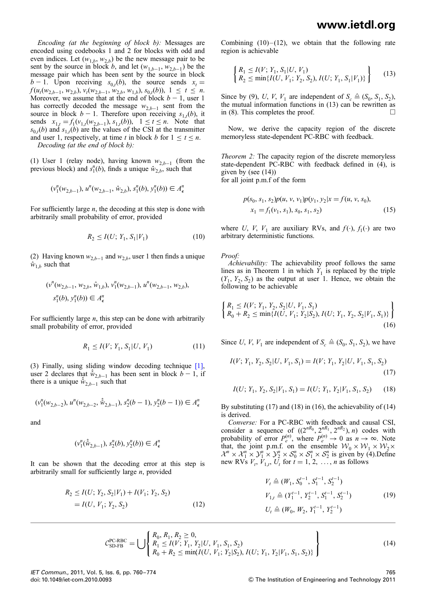Encoding (at the beginning of block b): Messages are encoded using codebooks 1 and 2 for blocks with odd and even indices. Let  $(w_{1,b}, w_{2,b})$  be the new message pair to be sent by the source in block b, and let  $(w_{1,b-1}, w_{2,b-1})$  be the message pair which has been sent by the source in block  $b - 1$ . Upon receiving  $s_{0,t}(b)$ , the source sends  $x_t =$  $f(u_t(w_{2,b-1}, w_{2,b}), v_t(w_{2,b-1}, w_{2,b}, w_{1,b}), s_{0,t}(b)), 1 \le t \le n.$ Moreover, we assume that at the end of block  $b - 1$ , user 1 has correctly decoded the message  $w_{2,b-1}$  sent from the source in block  $b - 1$ . Therefore upon receiving  $s_{1,t}(b)$ , it sends  $x_{1,t} = f_1(v_{1,t}(w_{2,b-1}), s_{1,t}(b))$ ,  $1 \le t \le n$ . Note that  $s_{0,t}(b)$  and  $s_{1,t}(b)$  are the values of the CSI at the transmitter and user 1, respectively, at time t in block b for  $1 \le t \le n$ .

Decoding (at the end of block b):

(1) User 1 (relay node), having known  $w_{2,b-1}$  (from the previous block) and  $s_1^n(b)$ , finds a unique  $\hat{w}_{2,b}$ , such that

$$
(v_1^n(w_{2,b-1}), u^n(w_{2,b-1}, \hat{w}_{2,b}), s_1^n(b), y_1^n(b)) \in A^n_{\epsilon}
$$

For sufficiently large  $n$ , the decoding at this step is done with arbitrarily small probability of error, provided

$$
R_2 \le I(U; Y_1, S_1 | V_1) \tag{10}
$$

(2) Having known  $w_{2,b-1}$  and  $w_{2,b}$ , user 1 then finds a unique  $\hat{w}_{1,b}$  such that

$$
(v^n(w_{2,b-1}, w_{2,b}, \hat{w}_{1,b}), v_1^n(w_{2,b-1}), u^n(w_{2,b-1}, w_{2,b}),
$$
  

$$
s_1^n(b), y_1^n(b)) \in A_{\epsilon}^n
$$

For sufficiently large  $n$ , this step can be done with arbitrarily small probability of error, provided

$$
R_1 \le I(V; Y_1, S_1 | U, V_1) \tag{11}
$$

(3) Finally, using sliding window decoding technique [\[1\],](#page-13-0) user 2 declares that  $\hat{w}_{2,b-1}$  has been sent in block  $b-1$ , if there is a unique  $\hat{w}_{2,b-1}$  such that

$$
(v_1^n(w_{2,b-2}), u^n(w_{2,b-2}, \hat{w}_{2,b-1}), s_2^n(b-1), y_2^n(b-1)) \in A^n_{\epsilon}
$$

and

$$
(\nu_1^n(\hat{\hat{w}}_{2,b-1}), s_2^n(b), \nu_2^n(b)) \in A^n_{\epsilon}
$$

It can be shown that the decoding error at this step is arbitrarily small for sufficiently large  $n$ , provided

$$
R_2 \le I(U; Y_2, S_2 | V_1) + I(V_1; Y_2, S_2)
$$
  
=  $I(U, V_1; Y_2, S_2)$  (12)

Combining  $(10)$ – $(12)$ , we obtain that the following rate region is achievable

$$
\begin{cases} R_1 \leq I(V; Y_1, S_1 | U, V_1) \\ R_2 \leq \min\{I(U, V_1; Y_2, S_2), I(U; Y_1, S_1 | V_1)\} \end{cases}
$$
 (13)

Since by (9), U, V, V<sub>1</sub> are independent of  $S_c \triangleq (S_0, S_1, S_2)$ , the mutual information functions in (13) can be rewritten as in (8). This completes the proof.  $\Box$ 

Now, we derive the capacity region of the discrete memoryless state-dependent PC-RBC with feedback.

Theorem 2: The capacity region of the discrete memoryless state-dependent PC-RBC with feedback defined in (4), is given by (see (14))

for all joint p.m.f of the form

$$
p(s_0, s_1, s_2)p(u, v, v_1)p(v_1, y_2|x = f(u, v, s_0),
$$
  

$$
x_1 = f_1(v_1, s_1), s_0, s_1, s_2)
$$
 (15)

where U, V,  $V_1$  are auxiliary RVs, and  $f(\cdot)$ ,  $f_1(\cdot)$  are two arbitrary deterministic functions.

Proof:

Achievability: The achievability proof follows the same lines as in Theorem 1 in which  $Y_1$  is replaced by the triple  $(Y_1, Y_2, S_2)$  as the output at user 1. Hence, we obtain the following to be achievable

$$
\begin{cases}\nR_1 \le I(V; Y_1, Y_2, S_2 | U, V_1, S_1) \\
R_0 + R_2 \le \min\{I(U, V_1; Y_2 | S_2), I(U; Y_1, Y_2, S_2 | V_1, S_1)\}\n\end{cases}
$$
\n(16)

Since U, V,  $V_1$  are independent of  $S_c \triangleq (S_0, S_1, S_2)$ , we have

$$
I(V; Y_1, Y_2, S_2 | U, V_1, S_1) = I(V; Y_1, Y_2 | U, V_1, S_1, S_2)
$$
\n(17)

$$
I(U; Y_1, Y_2, S_2 | V_1, S_1) = I(U; Y_1, Y_2 | V_1, S_1, S_2)
$$
 (18)

By substituting  $(17)$  and  $(18)$  in  $(16)$ , the achievability of  $(14)$ is derived.

Converse: For a PC-RBC with feedback and causal CSI, consider a sequence of  $((2^{nR_0}, 2^{nR_1}, 2^{nR_2}), n)$  codes with probability of error  $P_e^{(n)}$ , where  $P_e^{(n)} \to 0$  as  $n \to \infty$ . Note that, the joint p.m.f. on the ensemble  $W_0 \times W_1 \times W_2 \times$  $\mathcal{X}^n \times \mathcal{X}_1^n \times \mathcal{Y}_1^n \times \mathcal{Y}_2^n \times \mathcal{S}_0^n \times \mathcal{S}_1^n \times \mathcal{S}_2^n$  is given by (4). Define new RVs  $V_t$ ,  $V_{1,t}$ ,  $U_t$  for  $t = 1, 2, ..., n$  as follows

$$
V_{t} \triangleq (W_{1}, S_{0}^{t-1}, S_{1}^{t-1}, S_{2}^{t-1})
$$
  
\n
$$
V_{1,t} \triangleq (Y_{1}^{t-1}, Y_{2}^{t-1}, S_{1}^{t-1}, S_{2}^{t-1})
$$
  
\n
$$
U_{t} \triangleq (W_{0}, W_{2}, Y_{1}^{t-1}, Y_{2}^{t-1})
$$
\n(19)

(14)

$$
\mathcal{C}_{\text{SD-FB}}^{\text{PC-RBC}} = \bigcup \left\{ \begin{array}{l} R_0, R_1, R_2 \ge 0, \\ R_1 \le I(V; Y_1, Y_2 | U, V_1, S_1, S_2) \\ R_0 + R_2 \le \min\{I(U, V_1; Y_2 | S_2), I(U; Y_1, Y_2 | V_1, S_1, S_2)\} \end{array} \right\}
$$

IET Commun., 2011, Vol. 5, Iss. 6, pp. 760–774 765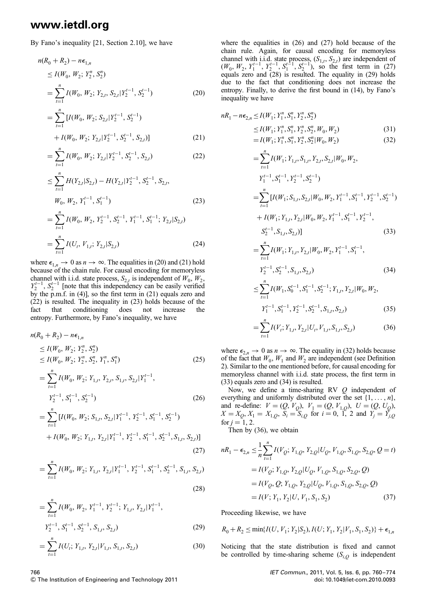By Fano's inequality [21, Section 2.10], we have

$$
n(R_0 + R_2) - n\epsilon_{1,n}
$$
  
\n
$$
\leq I(W_0, W_2; Y_2^n, S_2^n)
$$
  
\n
$$
= \sum_{t=1}^n I(W_0, W_2; Y_{2,t}, S_{2,t} | Y_2^{t-1}, S_2^{t-1})
$$
  
\n
$$
= \sum_{t=1}^n [I(W_0, W_2; S_{2,t} | Y_2^{t-1}, S_2^{t-1})
$$
\n(20)

$$
+ I(W_0, W_2; Y_{2,t} | Y_2^{t-1}, S_2^{t-1}, S_{2,t})]
$$
\n(21)

$$
= \sum_{t=1}^{n} I(W_0, W_2; Y_{2,t} | Y_2^{t-1}, S_2^{t-1}, S_{2,t})
$$
\n(22)

$$
\leq \sum_{t=1}^{n} H(Y_{2,t}|S_{2,t}) - H(Y_{2,t}|Y_2^{t-1}, S_2^{t-1}, S_{2,t},
$$
  

$$
W_0, W_2, Y_1^{t-1}, S_1^{t-1})
$$
 (23)

$$
= \sum_{t=1}^{n} I(W_0, W_2, Y_2^{t-1}, S_2^{t-1}, Y_1^{t-1}, S_1^{t-1}; Y_{2,t} | S_{2,t})
$$
  

$$
= \sum_{t=1}^{n} I(U_t, V_{1,t}; Y_{2,t} | S_{2,t})
$$
(24)

where  $\epsilon_{1,n} \to 0$  as  $n \to \infty$ . The equalities in (20) and (21) hold because of the chain rule. For causal encoding for memoryless channel with i.i.d. state process,  $S_{2,t}$  is independent of  $W_0$ ,  $W_2$ ,  $Y_2^{t-1}$ ,  $S_2^{t-1}$  [note that this independency can be easily verified by the p.m.f. in (4)], so the first term in (21) equals zero and (22) is resulted. The inequality in (23) holds because of the fact that conditioning does not increase the entropy. Furthermore, by Fano's inequality, we have

$$
n(R_0 + R_2) - n\epsilon_{1,n}
$$
  
\n
$$
\leq I(W_0, W_2; Y_2^n, S_2^n)
$$
  
\n
$$
\leq I(W_0, W_2; Y_2^n, S_2^n, Y_1^n, S_1^n)
$$
\n(25)

$$
= \sum_{t=1}^{n} I(W_0, W_2; Y_{1,t}, Y_{2,t}, S_{1,t}, S_{2,t} | Y_1^{t-1},
$$
  

$$
Y_2^{t-1}, S_1^{t-1}, S_2^{t-1})
$$
 (26)

$$
= \sum_{t=1}^{n} \left[ I(W_0, W_2; S_{1,t}, S_{2,t} | Y_1^{t-1}, Y_2^{t-1}, S_1^{t-1}, S_2^{t-1}) + I(W_0, W_2; Y_{1,t}, Y_{2,t} | Y_1^{t-1}, Y_2^{t-1}, S_1^{t-1}, S_2^{t-1}, S_{1,t}, S_{2,t}) \right]
$$
\n(27)

$$
= \sum_{t=1}^{n} I(W_0, W_2; Y_{1,t}, Y_{2,t} | Y_1^{t-1}, Y_2^{t-1}, S_1^{t-1}, S_2^{t-1}, S_{1,t}, S_{2,t})
$$
\n(28)

$$
= \sum_{t=1}^{n} I(W_0, W_2, Y_1^{t-1}, Y_2^{t-1}; Y_{1,t}, Y_{2,t} | Y_1^{t-1},Y_2^{t-1}, S_1^{t-1}, S_2^{t-1}, S_{1,t}, S_{2,t})
$$
\n(29)

$$
= \sum_{t=1}^{n} I(U_t; Y_{1,t}, Y_{2,t} | V_{1,t}, S_{1,t}, S_{2,t})
$$
\n(30)

where the equalities in (26) and (27) hold because of the chain rule. Again, for causal encoding for memoryless channel with i.i.d. state process,  $(S_{1,t}, S_{2,t})$  are independent of  $(W_0, W_2, Y_1^{t-1}, Y_2^{t-1}, S_1^{t-1}, S_2^{t-1}),$  so the first term in (27) equals zero and (28) is resulted. The equality in (29) holds due to the fact that conditioning does not increase the entropy. Finally, to derive the first bound in (14), by Fano's inequality we have

$$
nR_1 - n\epsilon_{2,n} \le I(W_1; Y_1^n, S_1^n, Y_2^n, S_2^n)
$$
  
\n
$$
\le I(W_1; Y_1^n, S_1^n, Y_2^n, S_2^n, W_0, W_2)
$$
  
\n
$$
= I(W_1; Y_1^n, S_1^n, Y_2^n, S_2^n | W_0, W_2)
$$
\n(32)

$$
= \sum_{t=1}^{n} I(W_1; Y_{1,t}, S_{1,t}, Y_{2,t}, S_{2,t} | W_0, W_2, Y_1^{t-1}, S_1^{t-1}, Y_2^{t-1}, S_2^{t-1})
$$
  
\n
$$
= \sum_{t=1}^{n} [I(W_1; S_{1,t}, S_{2,t} | W_0, W_2, Y_1^{t-1}, S_1^{t-1}, Y_2^{t-1}, S_2^{t-1})
$$
  
\n
$$
+ I(W_1; Y_{1,t}, Y_{2,t} | W_0, W_2, Y_1^{t-1}, S_1^{t-1}, Y_2^{t-1}, S_2^{t-1}, S_{1,t}^{t-1}, S_{2,t}^{t-1})]
$$
  
\n(33)

$$
= \sum_{t=1}^{n} I(W_1; Y_{1,t}, Y_{2,t} | W_0, W_2, Y_1^{t-1}, S_1^{t-1},
$$
  

$$
Y_2^{t-1}, S_2^{t-1}, S_{1,t}, S_{2,t})
$$
 (34)

$$
\leq \sum_{t=1}^{n} I(W_1, S_0^{t-1}, S_1^{t-1}, S_2^{t-1}; Y_{1,t}, Y_{2,t} | W_0, W_2, Y_1^{t-1}, S_1^{t-1}, Y_2^{t-1}, S_{1,t}, S_{2,t})
$$
\n(35)

$$
=\sum_{t=1}^{n} I(V_t; Y_{1,t}, Y_{2,t} | U_t, V_{1,t}, S_{1,t}, S_{2,t})
$$
\n(36)

where  $\epsilon_{2,n} \to 0$  as  $n \to \infty$ . The equality in (32) holds because of the fact that  $W_0$ ,  $W_1$  and  $W_2$  are independent (see Definition 2). Similar to the one mentioned before, for causal encoding for memoryless channel with i.i.d. state process, the first term in (33) equals zero and (34) is resulted.

Now, we define a time-sharing RV  $Q$  independent of everything and uniformly distributed over the set  $\{1, \ldots, n\}$ , and re-define:  $V = (Q, V_Q)$ ,  $V_1 = (Q, V_{1,Q})$ ,  $U = (Q, U_Q)$ ,  $X = X_Q, X_1 = X_{1,Q}, S_i = S_{i,Q}$  for  $i = 0, 1, 2$  and  $Y_j = Y_{j,Q}$ for  $j = 1, 2$ .

Then by (36), we obtain

$$
nR_1 - \epsilon_{2,n} \le \frac{1}{n} \sum_{t=1}^n I(V_Q; Y_{1,Q}, Y_{2,Q} | U_Q, V_{1,Q}, S_{1,Q}, S_{2,Q}, Q = t)
$$
  
=  $I(V_Q; Y_{1,Q}, Y_{2,Q} | U_Q, V_{1,Q}, S_{1,Q}, S_{2,Q}, Q)$   
=  $I(V_Q, Q; Y_{1,Q}, Y_{2,Q} | U_Q, V_{1,Q}, S_{1,Q}, S_{2,Q}, Q)$   
=  $I(V; Y_1, Y_2 | U, V_1, S_1, S_2)$  (37)

Proceeding likewise, we have

$$
R_0 + R_2 \le \min\{I(U, V_1; Y_2|S_2), I(U; Y_1, Y_2|V_1, S_1, S_2)\} + \epsilon_{1,n}
$$

Noticing that the state distribution is fixed and cannot be controlled by time-sharing scheme  $(S_{i,Q}$  is independent

 $\degree$  The Institution of Engineering and Technology 2011 doi: 10.1049/iet-com.2010.0093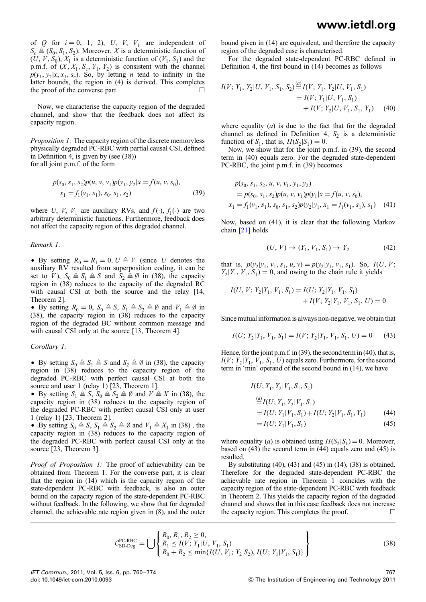of  $Q$  for  $i = 0, 1, 2$ ,  $U, V, V_1$  are independent of  $S_c \triangleq (S_0, S_1, S_2)$ . Moreover, X is a deterministic function of  $(U, V, S_0), X_1$  is a deterministic function of  $(V_1, S_1)$  and the p.m.f. of  $(X, X_1, S_c, Y_1, Y_2)$  is consistent with the channel  $p(y_1, y_2|x, x_1, s_c)$ . So, by letting *n* tend to infinity in the latter bounds, the region in (4) is derived. This completes the proof of the converse part.

Now, we characterise the capacity region of the degraded channel, and show that the feedback does not affect its capacity region.

Proposition 1: The capacity region of the discrete memoryless physically degraded PC-RBC with partial causal CSI, defined in Definition 4, is given by (see (38)) for all joint p.m.f. of the form

$$
p(s_0, s_1, s_2)p(u, v, v_1)p(y_1, y_2|x = f(u, v, s_0),
$$
  
\n
$$
x_1 = f_1(v_1, s_1), s_0, s_1, s_2)
$$
\n(39)

where U, V,  $V_1$  are auxiliary RVs, and  $f(\cdot)$ ,  $f_1(\cdot)$  are two arbitrary deterministic functions. Furthermore, feedback does not affect the capacity region of this degraded channel.

#### Remark 1:

• By setting  $R_0 = R_1 = 0, U \triangleq V$  (since U denotes the auxiliary RV resulted from superposition coding, it can be set to V),  $S_0 \triangleq S_1 \triangleq S$  and  $S_2 \triangleq \emptyset$  in (38), the capacity region in (38) reduces to the capacity of the degraded RC with causal CSI at both the source and the relay [14, Theorem 2].

• By setting  $R_0 = 0$ ,  $S_0 \triangleq S$ ,  $S_1 \triangleq S_2 \triangleq \emptyset$  and  $V_1 \triangleq \emptyset$  in (38), the capacity region in (38) reduces to the capacity region of the degraded BC without common message and with causal CSI only at the source [13, Theorem 4].

### Corollary 1:

• By setting  $S_0 \triangleq S_1 \triangleq S$  and  $S_2 \triangleq \emptyset$  in (38), the capacity region in (38) reduces to the capacity region of the degraded PC-RBC with perfect causal CSI at both the source and user 1 (relay 1) [23, Theorem 1].

• By setting  $S_1 \triangleq S$ ,  $S_0 \triangleq S_2 \triangleq \emptyset$  and  $V \triangleq X$  in (38), the capacity region in (38) reduces to the capacity region of the degraded PC-RBC with perfect causal CSI only at user 1 (relay 1) [23, Theorem 2].

• By setting  $S_0 \triangleq S$ ,  $S_1 \triangleq S_2 \triangleq \emptyset$  and  $V_1 \triangleq X_1$  in (38), the capacity region in (38) reduces to the capacity region of the degraded PC-RBC with perfect causal CSI only at the source [23, Theorem 3].

Proof of Proposition 1: The proof of achievability can be obtained from Theorem 1. For the converse part, it is clear that the region in (14) which is the capacity region of the state-dependent PC-RBC with feedback, is also an outer bound on the capacity region of the state-dependent PC-RBC without feedback. In the following, we show that for degraded channel, the achievable rate region given in (8), and the outer

### www.ietdl.org

bound given in (14) are equivalent, and therefore the capacity region of the degraded case is characterised.

For the degraded state-dependent PC-RBC defined in Definition 4, the first bound in (14) becomes as follows

$$
I(V; Y_1, Y_2 | U, V_1, S_1, S_2) \stackrel{(a)}{=} I(V; Y_1, Y_2 | U, V_1, S_1)
$$
  
=  $I(V; Y_1 | U, V_1, S_1)$   
+  $I(V; Y_2 | U, V_1, S_1, Y_1)$  (40)

where equality  $(a)$  is due to the fact that for the degraded channel as defined in Definition 4,  $S_2$  is a deterministic function of  $S_1$ , that is,  $H(S_2|S_1) = 0$ .

Now, we show that for the joint p.m.f. in (39), the second term in (40) equals zero. For the degraded state-dependent PC-RBC, the joint p.m.f. in (39) becomes

$$
p(s_0, s_1, s_2, u, v, v_1, y_1, y_2)
$$
  
=  $p(s_0, s_1, s_2)p(u, v, v_1)p(v_1|x = f(u, v, s_0),$   
 $x_1 = f_1(v_1, s_1), s_0, s_1, s_2)p(v_2|v_1, x_1 = f_1(v_1, s_1), s_1)$  (41)

Now, based on (41), it is clear that the following Markov chain [\[21\]](#page-13-0) holds

$$
(U, V) \to (Y_1, V_1, S_1) \to Y_2 \tag{42}
$$

that is,  $p(y_2|y_1, v_1, s_1, u, v) = p(y_2|y_1, v_1, s_1)$ . So,  $I(U, V;$  $Y_2|Y_1, Y_1, S_1$  = 0, and owing to the chain rule it yields

$$
I(U, V; Y_2 | Y_1, V_1, S_1) = I(U; Y_2 | Y_1, V_1, S_1) + I(V; Y_2 | Y_1, V_1, S_1, U) = 0
$$

Since mutual information is always non-negative, we obtain that

$$
I(U; Y_2 | Y_1, V_1, S_1) = I(V; Y_2 | Y_1, V_1, S_1, U) = 0 \tag{43}
$$

Hence, for the joint p.m.f. in (39), the second term in (40), that is,  $I(V; Y_2|Y_1, V_1, S_1, U)$  equals zero. Furthermore, for the second term in 'min' operand of the second bound in (14), we have

$$
I(U; Y_1, Y_2 | V_1, S_1, S_2)
$$
  
\n
$$
\stackrel{(a)}{=} I(U; Y_1, Y_2 | V_1, S_1)
$$
  
\n
$$
= I(U; Y_1 | V_1, S_1) + I(U; Y_2 | V_1, S_1, Y_1)
$$
  
\n
$$
= I(U; Y_1 | V_1, S_1)
$$
\n(45)

where equality (a) is obtained using  $H(S_2|S_1) = 0$ . Moreover, based on (43) the second term in (44) equals zero and (45) is resulted.

By substituting (40), (43) and (45) in (14), (38) is obtained. Therefore for the degraded state-dependent PC-RBC the achievable rate region in Theorem 1 coincides with the capacity region of the state-dependent PC-RBC with feedback in Theorem 2. This yields the capacity region of the degraded channel and shows that in this case feedback does not increase the capacity region. This completes the proof.  $\Box$ 

$$
\mathcal{C}_{\text{SD-Deg}}^{\text{PC-RBC}} = \bigcup \left\{ \begin{array}{l} R_0, R_1, R_2 \ge 0, \\ R_1 \le I(V; Y_1 | U, V_1, S_1) \\ R_0 + R_2 \le \min\{I(U, V_1; Y_2 | S_2), I(U; Y_1 | V_1, S_1)\} \end{array} \right\}
$$
(38)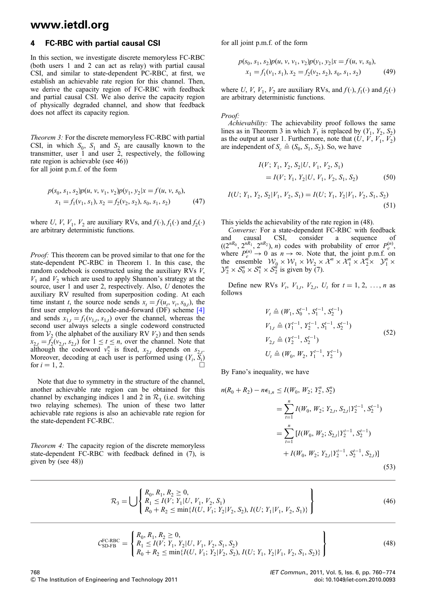### 4 FC-RBC with partial causal CSI

In this section, we investigate discrete memoryless FC-RBC (both users 1 and 2 can act as relay) with partial causal CSI, and similar to state-dependent PC-RBC, at first, we establish an achievable rate region for this channel. Then, we derive the capacity region of FC-RBC with feedback and partial causal CSI. We also derive the capacity region of physically degraded channel, and show that feedback does not affect its capacity region.

Theorem 3: For the discrete memoryless FC-RBC with partial CSI, in which  $S_0$ ,  $S_1$  and  $S_2$  are causally known to the transmitter, user 1 and user 2, respectively, the following rate region is achievable (see 46)) for all joint p.m.f. of the form

$$
p(s_0, s_1, s_2)p(u, v, v_1, v_2)p(v_1, y_2|x = f(u, v, s_0),
$$
  
\n
$$
x_1 = f_1(v_1, s_1), x_2 = f_2(v_2, s_2), s_0, s_1, s_2)
$$
 (47)

where U, V,  $V_1$ ,  $V_2$  are auxiliary RVs, and  $f(\cdot), f_1(\cdot)$  and  $f_2(\cdot)$ are arbitrary deterministic functions.

Proof: This theorem can be proved similar to that one for the state-dependent PC-RBC in Theorem 1. In this case, the random codebook is constructed using the auxiliary RVs V,  $V_1$  and  $V_2$  which are used to apply Shannon's strategy at the source, user 1 and user 2, respectively. Also, U denotes the auxiliary RV resulted from superposition coding. At each time instant t, the source node sends  $x_t = f(u_t, v_t, s_{0,t})$ , the first user employs the decode-and-forward (DF) scheme [\[4\]](#page-13-0) and sends  $x_{1,t} = f_1(v_{1,t}, s_{1,t})$  over the channel, whereas the second user always selects a single codeword constructed from  $V_2$  (the alphabet of the auxiliary RV  $V_2$ ) and then sends  $x_{2,t} = f_2(v_{2,t}, s_{2,t})$  for  $1 \le t \le n$ , over the channel. Note that although the codeword  $v_2^n$  is fixed,  $x_{2,t}$  depends on  $s_{2,t}$ . Moreover, decoding at each user is performed using  $(Y_i, S_i)$ for  $i = 1, 2$ .

Note that due to symmetry in the structure of the channel, another achievable rate region can be obtained for this channel by exchanging indices 1 and 2 in  $\mathcal{R}_3$  (i.e. switching two relaying schemes). The union of these two latter achievable rate regions is also an achievable rate region for the state-dependent FC-RBC.

Theorem 4: The capacity region of the discrete memoryless state-dependent FC-RBC with feedback defined in (7), is given by (see 48))

for all joint p.m.f. of the form

$$
p(s_0, s_1, s_2)p(u, v, v_1, v_2)p(v_1, y_2|x = f(u, v, s_0),
$$
  
\n
$$
x_1 = f_1(v_1, s_1), x_2 = f_2(v_2, s_2), s_0, s_1, s_2)
$$
 (49)

where U, V,  $V_1$ ,  $V_2$  are auxiliary RVs, and  $f(\cdot), f_1(\cdot)$  and  $f_2(\cdot)$ are arbitrary deterministic functions.

#### Proof:

Achievability: The achievability proof follows the same lines as in Theorem 3 in which  $Y_1$  is replaced by  $(Y_1, Y_2, S_2)$ as the output at user 1. Furthermore, note that  $(U, V, V_1, V_2)$ are independent of  $S_c \triangleq (S_0, S_1, S_2)$ . So, we have

$$
I(V; Y_1, Y_2, S_2 | U, V_1, V_2, S_1)
$$
  
=  $I(V; Y_1, Y_2 | U, V_1, V_2, S_1, S_2)$  (50)

$$
I(U; Y_1, Y_2, S_2 | V_1, V_2, S_1) = I(U; Y_1, Y_2 | V_1, V_2, S_1, S_2)
$$
\n(51)

This yields the achievability of the rate region in (48).

Converse: For a state-dependent FC-RBC with feedback and causal CSI, consider a sequence of  $((2^{nR_0}, 2^{nR_1}, 2^{nR_2}), n)$  codes with probability of error  $P_e^{(n)}$ , where  $P_e^{(n)} \to 0$  as  $n \to \infty$ . Note that, the joint p.m.f. on the ensemble  $W_0 \times W_1 \times W_2 \times \mathcal{X}^n \times \mathcal{X}_1^n \times \mathcal{X}_2^n \times \mathcal{Y}_1^n \times$  $\mathcal{Y}_2^n \times \mathcal{S}_0^n \times \mathcal{S}_1^n \times \mathcal{S}_2^n$  is given by (7).

Define new RVs  $V_t$ ,  $V_{1,t}$ ,  $V_{2,t}$ ,  $U_t$  for  $t = 1, 2, ..., n$  as follows

$$
V_{t} \triangleq (W_{1}, S_{0}^{t-1}, S_{1}^{t-1}, S_{2}^{t-1})
$$
  
\n
$$
V_{1,t} \triangleq (Y_{1}^{t-1}, Y_{2}^{t-1}, S_{1}^{t-1}, S_{2}^{t-1})
$$
  
\n
$$
V_{2,t} \triangleq (Y_{2}^{t-1}, S_{2}^{t-1})
$$
  
\n
$$
U_{t} \triangleq (W_{0}, W_{2}, Y_{1}^{t-1}, Y_{2}^{t-1})
$$
  
\n(52)

By Fano's inequality, we have

$$
n(R_0 + R_2) - n\epsilon_{1,n} \le I(W_0, W_2; Y_2^n, S_2^n)
$$
  
= 
$$
\sum_{t=1}^n I(W_0, W_2; Y_{2,t}, S_{2,t} | Y_2^{t-1}, S_2^{t-1})
$$
  
= 
$$
\sum_{t=1}^n [I(W_0, W_2; S_{2,t} | Y_2^{t-1}, S_2^{t-1})
$$
  
+ 
$$
I(W_0, W_2; Y_{2,t} | Y_2^{t-1}, S_2^{t-1}, S_{2,t})]
$$
 (53)

$$
\mathcal{R}_3 = \bigcup \left\{ \begin{array}{l} R_0, R_1, R_2 \ge 0, \\ R_1 \le I(V; Y_1 | U, V_1, V_2, S_1) \\ R_0 + R_2 \le \min\{I(U, V_1; Y_2 | V_2, S_2), I(U; Y_1 | V_1, V_2, S_1)\} \end{array} \right\}
$$
(46)

$$
\mathcal{C}_{\text{SD-FB}}^{\text{FC-RBC}} = \left\{ \begin{array}{l} R_0, R_1, R_2 \ge 0, \\ R_1 \le I(V; Y_1, Y_2 | U, V_1, V_2, S_1, S_2) \\ R_0 + R_2 \le \min\{I(U, V_1; Y_2 | V_2, S_2), I(U; Y_1, Y_2 | V_1, V_2, S_1, S_2)\} \end{array} \right\}
$$

768 IET Commun., 2011, Vol. 5, Iss. 6, pp. 760 –774  $\degree$  The Institution of Engineering and Technology 2011 doi: 10.1049/iet-com.2010.0093

(48)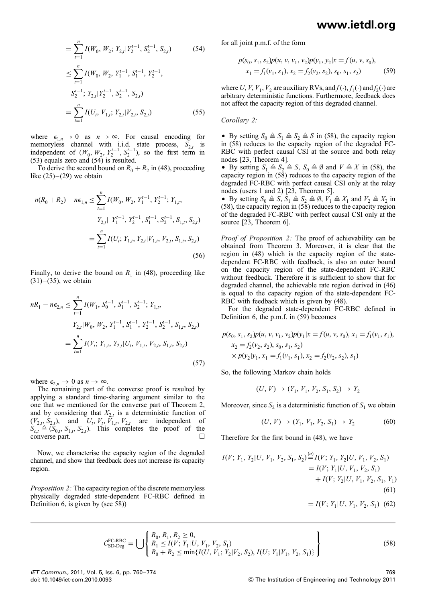$$
= \sum_{t=1}^{n} I(W_0, W_2; Y_{2,t} | Y_2^{t-1}, S_2^{t-1}, S_{2,t})
$$
(54)  

$$
\leq \sum_{t=1}^{n} I(W_0, W_2, Y_1^{t-1}, S_1^{t-1}, Y_2^{t-1}, S_2^{t-1}, S_2^{t-1})
$$
  

$$
= \sum_{t=1}^{n} I(U_t, V_{1,t}; Y_{2,t} | V_{2,t}, S_{2,t})
$$
(55)

where  $\epsilon_{1,n} \to 0$  as  $n \to \infty$ . For causal encoding for memoryless channel with i.i.d. state process,  $S_{2,t}$  is independent of  $(W_0, W_2, Y_2^{t-1}, S_2^{t-1})$ , so the first term in (53) equals zero and (54) is resulted.

To derive the second bound on  $R_0 + R_2$  in (48), proceeding like  $(25)$ – $(29)$  we obtain

$$
n(R_0 + R_2) - n\epsilon_{1,n} \le \sum_{t=1}^n I(W_0, W_2, Y_1^{t-1}, Y_2^{t-1}; Y_{1,t},
$$
  

$$
Y_{2,t} | Y_1^{t-1}, Y_2^{t-1}, S_1^{t-1}, S_2^{t-1}, S_{1,t}, S_{2,t})
$$
  

$$
= \sum_{t=1}^n I(U_t; Y_{1,t}, Y_{2,t} | V_{1,t}, V_{2,t}, S_{1,t}, S_{2,t})
$$
  
(56)

Finally, to derive the bound on  $R_1$  in (48), proceeding like  $(31)$ – $(35)$ , we obtain

$$
nR_1 - n\epsilon_{2,n} \le \sum_{t=1}^n I(W_1, S_0^{t-1}, S_1^{t-1}, S_2^{t-1}; Y_{1,t},
$$
  
\n
$$
Y_{2,t}|W_0, W_2, Y_1^{t-1}, S_1^{t-1}, Y_2^{t-1}, S_2^{t-1}, S_{1,t}, S_{2,t})
$$
  
\n
$$
= \sum_{t=1}^n I(V_t; Y_{1,t}, Y_{2,t}|U_t, V_{1,t}, V_{2,t}, S_{1,t}, S_{2,t})
$$
  
\n(57)

where  $\epsilon_{2,n} \to 0$  as  $n \to \infty$ .

The remaining part of the converse proof is resulted by applying a standard time-sharing argument similar to the one that we mentioned for the converse part of Theorem 2, and by considering that  $X_{2,t}$  is a deterministic function of  $(V_{2,t}, S_{2,t})$ , and  $U_t, V_t, V_{1,t}, V_{2,t}$  are independent of  $S_{c,t} \triangleq (S_{0,t}, S_{1,t}, S_{2,t})$ . This completes the proof of the converse part.  $\Box$ 

Now, we characterise the capacity region of the degraded channel, and show that feedback does not increase its capacity region.

Proposition 2: The capacity region of the discrete memoryless physically degraded state-dependent FC-RBC defined in Definition 6, is given by (see 58))

for all joint p.m.f. of the form

$$
p(s_0, s_1, s_2)p(u, v, v_1, v_2)p(v_1, y_2|x = f(u, v, s_0),
$$
  
\n
$$
x_1 = f_1(v_1, s_1), x_2 = f_2(v_2, s_2), s_0, s_1, s_2)
$$
 (59)

where U, V,  $V_1$ ,  $V_2$  are auxiliary RVs, and  $f(\cdot), f_1(\cdot)$  and  $f_2(\cdot)$  are arbitrary deterministic functions. Furthermore, feedback does not affect the capacity region of this degraded channel.

### Corollary 2:

• By setting  $S_0 \triangleq S_1 \triangleq S_2 \triangleq S$  in (58), the capacity region in (58) reduces to the capacity region of the degraded FC-RBC with perfect causal CSI at the source and both relay nodes [23, Theorem 4].

• By setting  $S_1 \triangleq S_2 \triangleq S$ ,  $S_0 \triangleq \emptyset$  and  $V \triangleq X$  in (58), the capacity region in  $(5\bar{8})$  reduces to the capacity region of the degraded FC-RBC with perfect causal CSI only at the relay nodes (users 1 and 2) [23, Theorem 5].

• By setting  $S_0 \triangleq S$ ,  $S_1 \triangleq S_2 \triangleq \emptyset$ ,  $V_1 \triangleq X_1$  and  $V_2 \triangleq X_2$  in  $(58)$ , the capacity region in  $(58)$  reduces to the capacity region of the degraded FC-RBC with perfect causal CSI only at the source [23, Theorem 6].

Proof of Proposition 2: The proof of achievability can be obtained from Theorem 3. Moreover, it is clear that the region in (48) which is the capacity region of the statedependent FC-RBC with feedback, is also an outer bound on the capacity region of the state-dependent FC-RBC without feedback. Therefore it is sufficient to show that for degraded channel, the achievable rate region derived in (46) is equal to the capacity region of the state-dependent FC-RBC with feedback which is given by (48).

For the degraded state-dependent FC-RBC defined in Definition 6, the p.m.f. in (59) becomes

$$
p(s_0, s_1, s_2)p(u, v, v_1, v_2)p(v_1|x = f(u, v, s_0), x_1 = f_1(v_1, s_1),
$$
  
\n
$$
x_2 = f_2(v_2, s_2), s_0, s_1, s_2)
$$
  
\n
$$
\times p(v_2|y_1, x_1 = f_1(v_1, s_1), x_2 = f_2(v_2, s_2), s_1)
$$

So, the following Markov chain holds

$$
(U, V) \to (Y_1, V_1, V_2, S_1, S_2) \to Y_2
$$

Moreover, since  $S_2$  is a deterministic function of  $S_1$  we obtain

$$
(U, V) \to (Y_1, V_1, V_2, S_1) \to Y_2 \tag{60}
$$

Therefore for the first bound in (48), we have

$$
I(V; Y_1, Y_2 | U, V_1, V_2, S_1, S_2) \stackrel{(a)}{=} I(V; Y_1, Y_2 | U, V_1, V_2, S_1)
$$
  
=  $I(V; Y_1 | U, V_1, V_2, S_1)$   
+  $I(V; Y_2 | U, V_1, V_2, S_1, Y_1)$   
(61)

$$
= I(V; Y_1 | U, V_1, V_2, S_1) \tag{62}
$$

(58)

$$
\mathcal{C}_{\text{SD-Deg}}^{\text{FC-RBC}} = \bigcup \left\{ \begin{array}{l} R_0, R_1, R_2 \ge 0, \\ R_1 \le I(V; Y_1 | U, V_1, V_2, S_1) \\ R_0 + R_2 \le \min\{I(U, V_1; Y_2 | V_2, S_2), I(U; Y_1 | V_1, V_2, S_1)\} \end{array} \right\}
$$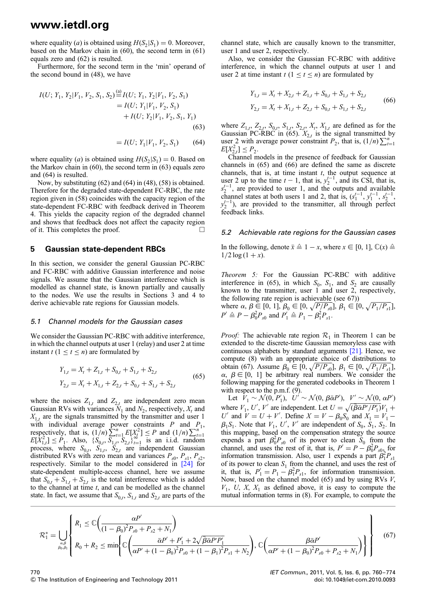where equality (*a*) is obtained using  $H(S_2|S_1) = 0$ . Moreover, based on the Markov chain in (60), the second term in (61) equals zero and (62) is resulted.

Furthermore, for the second term in the 'min' operand of the second bound in (48), we have

$$
I(U; Y_1, Y_2 | V_1, V_2, S_1, S_2) \stackrel{\text{(a)}}{=} I(U; Y_1, Y_2 | V_1, V_2, S_1)
$$
  
=  $I(U; Y_1 | V_1, V_2, S_1)$   
+  $I(U; Y_2 | V_1, V_2, S_1, Y_1)$   
(63)

 $= I(U; Y_1 | V_1, V_2, S_1)$  (64)

where equality (*a*) is obtained using  $H(S_2|S_1) = 0$ . Based on the Markov chain in (60), the second term in (63) equals zero and (64) is resulted.

Now, by substituting (62) and (64) in (48), (58) is obtained. Therefore for the degraded state-dependent FC-RBC, the rate region given in (58) coincides with the capacity region of the state-dependent FC-RBC with feedback derived in Theorem 4. This yields the capacity region of the degraded channel and shows that feedback does not affect the capacity region of it. This completes the proof.  $\Box$ 

### 5 Gaussian state-dependent RBCs

In this section, we consider the general Gaussian PC-RBC and FC-RBC with additive Gaussian interference and noise signals. We assume that the Gaussian interference which is modelled as channel state, is known partially and causally to the nodes. We use the results in Sections 3 and 4 to derive achievable rate regions for Gaussian models.

### 5.1 Channel models for the Gaussian cases

We consider the Gaussian PC-RBC with additive interference, in which the channel outputs at user 1 (relay) and user 2 at time instant  $t$  (1  $\leq$  t  $\leq$  n) are formulated by

$$
Y_{1,t} = X_t + Z_{1,t} + S_{0,t} + S_{1,t} + S_{2,t}
$$
  
\n
$$
Y_{2,t} = X_t + X_{1,t} + Z_{2,t} + S_{0,t} + S_{1,t} + S_{2,t}
$$
\n(65)

where the noises  $Z_{1,t}$  and  $Z_{2,t}$  are independent zero mean Gaussian RVs with variances  $N_1$  and  $N_2$ , respectively,  $X_t$  and  $X_{1,t}$  are the signals transmitted by the transmitter and user 1 with individual average power constraints P and  $P_1$ , respectively, that is,  $(1/n) \sum_{t=1}^{n} E[X_t^2] \le P$  and  $(1/n) \sum_{t=1}^{n} E[X_{1,t}^2] \le P_1$ . Also,  $\{S_{0,t}, S_{1,t}, S_{2,t}\}_{t=1}^{\infty}$  is an i.i.d. random process, where  $S_{0,t}$ ,  $S_{1,t}$ ,  $S_{2,t}$  are independent Gaussian distributed RVs with zero mean and variances  $P_{s0}$ ,  $P_{s1}$ ,  $P_{s2}$ , respectively. Similar to the model considered in [\[24\]](#page-14-0) for state-dependent multiple-access channel, here we assume that  $S_{0,t} + S_{1,t} + S_{2,t}$  is the total interference which is added to the channel at time  $t$ , and can be modelled as the channel state. In fact, we assume that  $S_{0,t}$ ,  $S_{1,t}$  and  $S_{2,t}$  are parts of the channel state, which are causally known to the transmitter, user 1 and user 2, respectively.

Also, we consider the Gaussian FC-RBC with additive interference, in which the channel outputs at user 1 and user 2 at time instant  $t$  ( $1 \le t \le n$ ) are formulated by

$$
Y_{1,t} = X_t + X_{2,t} + Z_{1,t} + S_{0,t} + S_{1,t} + S_{2,t}
$$
  
\n
$$
Y_{2,t} = X_t + X_{1,t} + Z_{2,t} + S_{0,t} + S_{1,t} + S_{2,t}
$$
\n(66)

where  $Z_{1,t}$ ,  $Z_{2,t}$ ,  $S_{0,t}$ ,  $S_{1,t}$ ,  $S_{2,t}$ ,  $X_t$ ,  $X_{1,t}$  are defined as for the Gaussian PC-RBC in (65).  $X_{2,t}$  is the signal transmitted by user 2 with average power constraint  $P_2$ , that is,  $(1/n) \sum_{t=1}^{n}$  $E[X_{2,t}^2] \leq P_2.$ 

Channel models in the presence of feedback for Gaussian channels in (65) and (66) are defined the same as discrete channels, that is, at time instant  $t$ , the output sequence at user 2 up to the time  $t - 1$ , that is,  $y_2^{t-1}$ , and its CSI, that is,  $s_2^{t-1}$ , are provided to user 1, and the outputs and available channel states at both users 1 and 2, that is,  $(s_1^{t-1}, y_1^{t-1}, s_2^{t-1},$  $y_2^{t-1}$ ), are provided to the transmitter, all through perfect feedback links.

### 5.2 Achievable rate regions for the Gaussian cases

In the following, denote  $\bar{x} \triangleq 1 - x$ , where  $x \in [0, 1]$ ,  $\mathbb{C}(x) \triangleq$  $1/2 \log(1 + x)$ .

Theorem 5: For the Gaussian PC-RBC with additive interference in (65), in which  $S_0$ ,  $S_1$ , and  $S_2$  are causally known to the transmitter, user 1 and user 2, respectively, the following rate region is achievable (see 67))

where  $\alpha, \beta \in [0, 1], \beta_0 \in [0, \sqrt{P/P_{s0}}], \beta_1 \in [0, \sqrt{P_1/P_{s1}}],$  $P' \triangleq P - \beta_0^2 P_{s0}$  and  $P'_1 \triangleq P_1 - \beta_1^2 P_{s1}$ .

*Proof:* The achievable rate region  $\mathcal{R}_1$  in Theorem 1 can be extended to the discrete-time Gaussian memoryless case with continuous alphabets by standard arguments [\[21\].](#page-13-0) Hence, we compute (8) with an appropriate choice of distributions to obtain (67). Assume  $\beta_0 \in [0, \sqrt{P/P_{s0}}]$ ,  $\beta_1 \in [0, \sqrt{P_1/P_{s1}}]$ ,  $\alpha, \beta \in [0, 1]$  be arbitrary real numbers. We consider the following mapping for the generated codebooks in Theorem 1 with respect to the p.m.f.  $(9)$ .

Let  $\dot{V}_1 \sim \mathcal{N}(0, P'_1), \quad \dot{U}' \sim \mathcal{N}(0, \beta \bar{\alpha} P'), \quad V' \sim \mathcal{N}(0, \alpha P')$ where  $V_1$ , U', V' are independent. Let  $U = \sqrt{\overline{B\overline{\alpha}P'P'_1}V_1} +$ U' and  $V = U + V'$ . Define  $X = V - \beta_0 S_0$  and  $X_1 = V_1$  –  $\beta_1S_1$ . Note that  $V_1$ , U', V' are independent of  $S_0$ ,  $S_1$ ,  $S_2$ . In this mapping, based on the compensation strategy the source expends a part  $\beta_0^2 P_{s0}$  of its power to clean  $S_0$  from the channel, and uses the rest of it, that is,  $P' = P - \beta_0^2 P_{s0}$ , for information transmission. Also, user 1 expends a part  $\beta_1^2 P_{s1}$ of its power to clean  $S_1$  from the channel, and uses the rest of it, that is,  $P'_1 = P_1 - \beta_1^2 P_{s1}$ , for information transmission. Now, based on the channel model (65) and by using RVs V,  $V_1$ , U, X,  $X_1$  as defined above, it is easy to compute the mutual information terms in (8). For example, to compute the

$$
\mathcal{R}_{1}^{*} = \bigcup_{\alpha,\beta \atop \beta_{0},\beta_{1}} \left\{ R_{1} \leq \mathbb{C} \left( \frac{\alpha P'}{(1 - \beta_{0})^{2} P_{s0} + P_{s2} + N_{1}} \right) - \left( \frac{\alpha P'}{(\alpha P' + P_{1} + 2\sqrt{\beta \alpha P' P_{1}})} \right) \right\} \left( \frac{\beta \overline{\alpha} P'}{\alpha P' + (1 - \beta_{0})^{2} P_{s0} + (1 - \beta_{1})^{2} P_{s1} + N_{2}} \right), \mathbb{C} \left( \frac{\beta \overline{\alpha} P'}{\alpha P' + (1 - \beta_{0})^{2} P_{s0} + P_{s2} + N_{1}} \right) \right\}
$$
(67)

770 IET Commun., 2011, Vol. 5, Iss. 6, pp. 760 –774  $\degree$  The Institution of Engineering and Technology 2011 doi: 10.1049/iet-com.2010.0093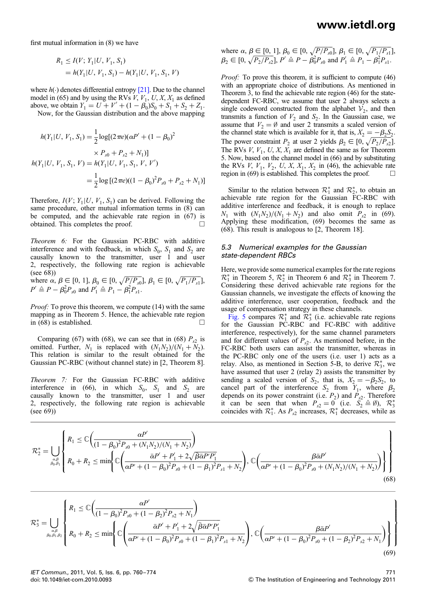first mutual information in (8) we have

$$
R_1 \le I(V; Y_1 | U, V_1, S_1)
$$
  
=  $h(Y_1 | U, V_1, S_1) - h(Y_1 | U, V_1, S_1, V)$ 

where  $h(\cdot)$  denotes differential entropy [\[21\].](#page-13-0) Due to the channel model in (65) and by using the RVs  $V, V_1, U, X, X_1$  as defined above, we obtain  $Y_1 = U + V' + (1 - \beta_0)S_0 + S_1 + S_2 + Z_1$ .

Now, for the Gaussian distribution and the above mapping

$$
h(Y_1|U, V_1, S_1) = \frac{1}{2} \log[(2\pi e)(\alpha P' + (1 - \beta_0)^2
$$
  

$$
\times P_{s0} + P_{s2} + N_1)]
$$
  

$$
h(Y_1|U, V_1, S_1, V) = h(Y_1|U, V_1, S_1, V, V')
$$
  

$$
= \frac{1}{2} \log [(2\pi e)((1 - \beta_0)^2 P_{s0} + P_{s2} + N_1)]
$$

Therefore,  $I(V; Y_1 | U, V_1, S_1)$  can be derived. Following the same procedure, other mutual information terms in (8) can be computed, and the achievable rate region in (67) is obtained. This completes the proof.  $\Box$ 

Theorem 6: For the Gaussian PC-RBC with additive interference and with feedback, in which  $S_0$ ,  $S_1$  and  $S_2$  are causally known to the transmitter, user 1 and user 2, respectively, the following rate region is achievable (see 68)) where  $\alpha, \beta \in [0, 1], \beta_0 \in [0, \sqrt{P/P_{s0}}], \beta_1 \in [0, \sqrt{P_1/P_{s1}}],$ 

 $P' \triangleq P - \beta_0^2 P_{s0}$  and  $P'_1 \triangleq P_1 - \beta_1^2 P_{s1}$ .

*Proof:* To prove this theorem, we compute (14) with the same mapping as in Theorem 5. Hence, the achievable rate region in (68) is established.  $\Box$ 

Comparing (67) with (68), we can see that in (68)  $P_{s2}$  is omitted. Further,  $N_1$  is replaced with  $(N_1N_2)/(N_1 + N_2)$ . This relation is similar to the result obtained for the Gaussian PC-RBC (without channel state) in [2, Theorem 8].

Theorem 7: For the Gaussian FC-RBC with additive interference in (66), in which  $S_0$ ,  $S_1$  and  $S_2$  are causally known to the transmitter, user 1 and user 2, respectively, the following rate region is achievable (see 69))

where 
$$
\alpha, \beta \in [0, 1], \beta_0 \in [0, \sqrt{P/P_{s0}}], \beta_1 \in [0, \sqrt{P_1/P_{s1}}], \beta_2 \in [0, \sqrt{P_2/P_{s2}}], P' \triangleq P - \beta_0^2 P_{s0}
$$
 and  $P'_1 \triangleq P_1 - \beta_1^2 P_{s1}$ .

*Proof:* To prove this theorem, it is sufficient to compute (46) with an appropriate choice of distributions. As mentioned in Theorem 3, to find the achievable rate region (46) for the statedependent FC-RBC, we assume that user 2 always selects a single codeword constructed from the alphabet  $\mathcal{V}_2$ , and then transmits a function of  $V_2$  and  $S_2$ . In the Gaussian case, we assume that  $V_2 = \emptyset$  and user 2 transmits a scaled version of the channel state which is available for it, that is,  $X_2 = -\beta_2 S_2$ . The power constraint  $P_2$  at user 2 yields  $\beta_2 \in [0, \sqrt{P_2/P_{s2}}]$ . The RVs  $V, V_1, U, X, X_1$  are defined the same as for Theorem 5. Now, based on the channel model in (66) and by substituting the RVs V,  $V_1$ ,  $V_2$ , U, X,  $X_1$ ,  $X_2$  in (46), the achievable rate<br>region in (69) is established. This completes the proof region in (69) is established. This completes the proof.

Similar to the relation between  $\mathcal{R}_1^*$  and  $\mathcal{R}_2^*$ , to obtain an achievable rate region for the Gaussian FC-RBC with additive interference and feedback, it is enough to replace  $N_1$  with  $(N_1N_2)/(N_1 + N_2)$  and also omit  $P_{s2}$  in (69). Applying these modification, (69) becomes the same as (68). This result is analogous to [2, Theorem 18].

### 5.3 Numerical examples for the Gaussian state-dependent RBCs

Here, we provide some numerical examples for the rate regions  $\mathcal{R}_1^*$  in Theorem 5,  $\mathcal{R}_2^*$  in Theorem 6 and  $\mathcal{R}_3^*$  in Theorem 7. Considering these derived achievable rate regions for the Gaussian channels, we investigate the effects of knowing the additive interference, user cooperation, feedback and the usage of compensation strategy in these channels.

[Fig. 5](#page-12-0) compares  $\mathcal{R}_1^*$  and  $\widetilde{\mathcal{R}}_3^*$  (i.e. achievable rate regions for the Gaussian PC-RBC and FC-RBC with additive interference, respectively), for the same channel parameters and for different values of  $P_{s2}$ . As mentioned before, in the FC-RBC both users can assist the transmitter, whereas in the PC-RBC only one of the users (i.e. user 1) acts as a relay. Also, as mentioned in Section 5-B, to derive  $\mathcal{R}_3^*$ , we have assumed that user 2 (relay 2) assists the transmitter by sending a scaled version of  $S_2$ , that is,  $X_2 = -\beta_2 S_2$ , to cancel part of the interference  $S_2$  from  $Y_1$ , where  $\beta_2$ depends on its power constraint (i.e.  $P_2$ ) and  $P_{s2}$ . Therefore it can be seen that when  $P_{s2} = 0$  (i.e.  $S_2 \triangleq \emptyset$ ),  $\mathcal{R}_3^*$  coincides with  $\mathcal{R}_1^*$ . As  $P_{s2}$  increases,  $\mathcal{R}_1^*$  decreases, while as

$$
\mathcal{R}_{2}^{*} = \bigcup_{\alpha,\beta \atop \beta_{0},\beta_{1}} \left\{ R_{1} \leq \mathbb{C} \left( \frac{\alpha P'}{(1 - \beta_{0})^{2} P_{s0} + (N_{1} N_{2})/(N_{1} + N_{2})} \right) \right\}
$$
\n
$$
\mathcal{R}_{2}^{*} = \bigcup_{\beta_{0},\beta_{1}} \left\{ R_{0} + R_{2} \leq \min \left\{ \mathbb{C} \left( \frac{\bar{\alpha} P' + P'_{1} + 2\sqrt{\bar{\beta}\bar{\alpha} P' P'_{1}}}{\alpha P' + (1 - \beta_{0})^{2} P_{s0} + (1 - \beta_{1})^{2} P_{s1} + N_{2}} \right), \mathbb{C} \left( \frac{\beta \bar{\alpha} P'}{\alpha P' + (1 - \beta_{0})^{2} P_{s0} + (N_{1} N_{2})/(N_{1} + N_{2})} \right) \right\}
$$
\n
$$
(68)
$$

$$
\mathcal{R}_{3}^{*} = \bigcup_{\alpha,\beta \atop \beta_{0},\beta_{1},\beta_{2}} \left\{ R_{1} \leq \mathbb{C} \left( \frac{\alpha P'}{(1 - \beta_{0})^{2} P_{s0} + (1 - \beta_{2})^{2} P_{s2} + N_{1}} \right) \right\}
$$
\n
$$
\mathcal{R}_{3}^{*} = \bigcup_{\beta_{0},\beta_{1},\beta_{2}} \left\{ R_{0} + R_{2} \leq \min \left\{ \mathbb{C} \left( \frac{\bar{\alpha} P' + P'_{1} + 2\sqrt{\bar{\beta} \bar{\alpha} P' P'_{1}}}{\alpha P' + (1 - \beta_{0})^{2} P_{s0} + (1 - \beta_{1})^{2} P_{s1} + N_{2}} \right), \mathbb{C} \left( \frac{\beta \bar{\alpha} P'}{\alpha P' + (1 - \beta_{0})^{2} P_{s0} + (1 - \beta_{2})^{2} P_{s2} + N_{1}} \right) \right\}
$$
\n
$$
(69)
$$

IET Commun., 2011, Vol. 5, Iss. 6, pp. 760–774 771 doi: 10.1049/iet-com.2010.0093 & The Institution of Engineering and Technology 2011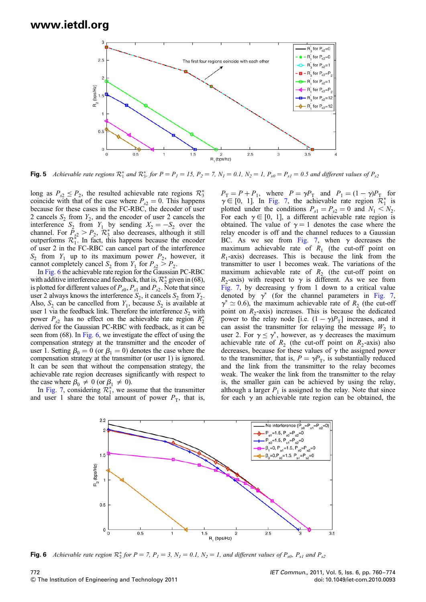<span id="page-12-0"></span>

**Fig. 5** Achievable rate regions  $\mathcal{R}_1^*$  and  $\mathcal{R}_3^*$ , for  $P = P_1 = 15$ ,  $P_2 = 7$ ,  $N_1 = 0.1$ ,  $N_2 = 1$ ,  $P_{s0} = P_{s1} = 0.5$  and different values of  $P_{s2}$ 

long as  $P_{s2} \leq P_2$ , the resulted achievable rate regions  $\mathcal{R}_3^*$ coincide with that of the case where  $P_{s2} = 0$ . This happens because for these cases in the FC-RBC, the decoder of user 2 cancels  $S_2$  from  $Y_2$ , and the encoder of user 2 cancels the interference  $S_2$  from  $Y_1$  by sending  $X_2 = -S_2$  over the channel. For  $\hat{P}_{s2} > P_2$ ,  $\hat{R}_3^*$  also decreases, although it still outperforms  $\mathcal{R}_1^*$ . In fact, this happens because the encoder of user 2 in the FC-RBC can cancel part of the interference  $S_2$  from  $Y_1$  up to its maximum power  $P_2$ , however, it cannot completely cancel  $S_2$  from  $Y_1$  for  $P_{s2} > P_2$ .

In Fig. 6 the achievable rate region for the Gaussian PC-RBC with additive interference and feedback, that is,  $\mathcal{R}_2^*$  given in (68), is plotted for different values of  $P_{s0}$ ,  $P_{s1}$  and  $P_{s2}$ . Note that since user 2 always knows the interference  $S_2$ , it cancels  $S_2$  from  $Y_2$ . Also,  $S_2$  can be cancelled from  $Y_1$ , because  $S_2$  is available at user 1 via the feedback link. Therefore the interference  $S_2$  with power  $P_{s2}$  has no effect on the achievable rate region  $R_2^*$ derived for the Gaussian PC-RBC with feedback, as it can be seen from (68). In Fig. 6, we investigate the effect of using the compensation strategy at the transmitter and the encoder of user 1. Setting  $\beta_0 = 0$  (or  $\beta_1 = 0$ ) denotes the case where the compensation strategy at the transmitter (or user 1) is ignored. It can be seen that without the compensation strategy, the achievable rate region decreases significantly with respect to the case where  $\beta_0 \neq 0$  (or  $\beta_1 \neq 0$ ).

In [Fig. 7](#page-13-0), considering  $\mathcal{R}_1^*$ , we assume that the transmitter and user 1 share the total amount of power  $P<sub>T</sub>$ , that is,

 $P_T = P + P_1$ , where  $P = \gamma P_T$  and  $P_1 = (1 - \gamma)P_T$  for  $\gamma \in [0, 1]$ . In [Fig. 7](#page-13-0), the achievable rate region  $\mathcal{R}_1^*$  is plotted under the conditions  $P_{s1} = P_{s2} = 0$  and  $N_1 < N_2$ . For each  $\gamma \in [0, 1]$ , a different achievable rate region is obtained. The value of  $\gamma = 1$  denotes the case where the relay encoder is off and the channel reduces to a Gaussian BC. As we see from [Fig. 7,](#page-13-0) when  $\gamma$  decreases the maximum achievable rate of  $R_1$  (the cut-off point on  $R_1$ -axis) decreases. This is because the link from the transmitter to user 1 becomes weak. The variations of the maximum achievable rate of  $R_2$  (the cut-off point on  $R_2$ -axis) with respect to  $\gamma$  is different. As we see from [Fig. 7,](#page-13-0) by decreasing  $\gamma$  from 1 down to a critical value denoted by  $\gamma^*$  (for the channel parameters in [Fig. 7](#page-13-0),  $\gamma^* \simeq 0.6$ ), the maximum achievable rate of  $R_2$  (the cut-off point on  $R<sub>2</sub>$ -axis) increases. This is because the dedicated power to the relay node [i.e.  $(1 - \gamma)P_T$ ] increases, and it can assist the transmitter for relaying the message  $W_2$  to user 2. For  $\gamma \leq \gamma^*$ , however, as  $\gamma$  decreases the maximum achievable rate of  $R_2$  (the cut-off point on  $R_2$ -axis) also decreases, because for these values of  $\gamma$  the assigned power to the transmitter, that is,  $P = \gamma P$ <sub>T</sub>, is substantially reduced and the link from the transmitter to the relay becomes weak. The weaker the link from the transmitter to the relay is, the smaller gain can be achieved by using the relay, although a larger  $P_1$  is assigned to the relay. Note that since for each  $\gamma$  an achievable rate region can be obtained, the



**Fig. 6** Achievable rate region  $\mathcal{R}_2^*$  for  $P = 7$ ,  $P_1 = 3$ ,  $N_1 = 0.1$ ,  $N_2 = 1$ , and different values of  $P_{s0}$ ,  $P_{s1}$  and  $P_{s2}$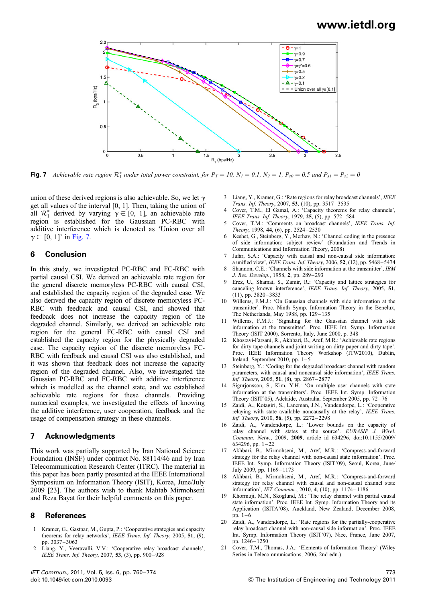<span id="page-13-0"></span>

**Fig. 7** Achievable rate region  $\mathcal{R}_1^*$  under total power constraint, for  $P_T = 10$ ,  $N_I = 0.1$ ,  $N_2 = I$ ,  $P_{s0} = 0.5$  and  $P_{sI} = P_{s2} = 0$ 

union of these derived regions is also achievable. So, we let  $\gamma$ get all values of the interval [0, 1]. Then, taking the union of all  $\mathcal{R}_1^*$  derived by varying  $\gamma \in [0, 1]$ , an achievable rate region is established for the Gaussian PC-RBC with additive interference which is denoted as 'Union over all  $\gamma \in [0, 1]$ ' in Fig. 7.

### 6 Conclusion

In this study, we investigated PC-RBC and FC-RBC with partial causal CSI. We derived an achievable rate region for the general discrete memoryless PC-RBC with causal CSI, and established the capacity region of the degraded case. We also derived the capacity region of discrete memoryless PC-RBC with feedback and causal CSI, and showed that feedback does not increase the capacity region of the degraded channel. Similarly, we derived an achievable rate region for the general FC-RBC with causal CSI and established the capacity region for the physically degraded case. The capacity region of the discrete memoryless FC-RBC with feedback and causal CSI was also established, and it was shown that feedback does not increase the capacity region of the degraded channel. Also, we investigated the Gaussian PC-RBC and FC-RBC with additive interference which is modelled as the channel state, and we established achievable rate regions for these channels. Providing numerical examples, we investigated the effects of knowing the additive interference, user cooperation, feedback and the usage of compensation strategy in these channels.

### 7 Acknowledgments

This work was partially supported by Iran National Science Foundation (INSF) under contract No. 88114/46 and by Iran Telecommunication Research Center (ITRC). The material in this paper has been partly presented at the IEEE International Symposium on Information Theory (ISIT), Korea, June/July 2009 [23]. The authors wish to thank Mahtab Mirmohseni and Reza Bayat for their helpful comments on this paper.

### 8 References

- 1 Kramer, G., Gastpar, M., Gupta, P.: 'Cooperative strategies and capacity theorems for relay networks', IEEE Trans. Inf. Theory, 2005, 51, (9), pp. 3037– 3063
- 2 Liang, Y., Veeravalli, V.V.: 'Cooperative relay broadcast channels', IEEE Trans. Inf. Theory, 2007, 53, (3), pp. 900–928
- 3 Liang, Y., Kramer, G.: 'Rate regions for relay broadcast channels', IEEE Trans. Inf. Theory, 2007, 53, (10), pp. 3517– 3535
- 4 Cover, T.M., El Gamal, A.: 'Capacity theorems for relay channels', IEEE Trans. Inf. Theory, 1979, 25, (5), pp. 572–584
- 5 Cover, T.M.: 'Comments on broadcast channels', IEEE Trans. Inf. Theory, 1998, 44, (6), pp. 2524– 2530
- Keshet, G., Steinberg, Y., Merhav, N.: 'Channel coding in the presence of side information: subject review' (Foundation and Trends in Communications and Information Theory, 2008)
- 7 Jafar, S.A.: 'Capacity with causal and non-causal side information: a unified view', IEEE Trans. Inf. Theory, 2006, 52, (12), pp. 5468– 5474
- Shannon, C.E.: 'Channels with side information at the transmitter', IBM J. Res. Develop., 1958, 2, pp. 289-293
- 9 Erez, U., Shamai, S., Zamir, R.: 'Capacity and lattice strategies for canceling known interference', IEEE Trans. Inf. Theory, 2005, 51, (11), pp. 3820–3833
- 10 Willems, F.M.J.: 'On Gaussian channels with side information at the transmitter'. Proc. Ninth Symp. Information Theory in the Benelux, The Netherlands, May 1988, pp. 129–135
- Willems, F.M.J.: 'Signaling for the Gaussian channel with side information at the transmitter'. Proc. IEEE Int. Symp. Information Theory (ISIT 2000), Sorrento, Italy, June 2000, p. 348
- 12 Khosravi-Farsani, R., Akhbari, B., Aref, M.R.: 'Achievable rate regions for dirty tape channels and joint writing on dirty paper and dirty tape'. Proc. IEEE Information Theory Workshop (ITW2010), Dublin, Ireland, September 2010, pp.  $1-5$
- 13 Steinberg, Y.: 'Coding for the degraded broadcast channel with random parameters, with causal and noncausal side information', IEEE Trans. Inf. Theory, 2005, 51, (8), pp. 2867-2877
- 14 Sigurjonsson, S., Kim, Y.H.: 'On multiple user channels with state information at the transmitters'. Proc. IEEE Int. Symp. Information Theory (ISIT'05), Adelaide, Australia, September 2005, pp. 72–76
- 15 Zaidi, A., Kotagiri, S., Laneman, J.N., Vandendorpe, L.: 'Cooperative relaying with state available noncausally at the relay', IEEE Trans. Inf. Theory, 2010, 56, (5), pp. 2272– 2298
- 16 Zaidi, A., Vandendorpe, L.: 'Lower bounds on the capacity of relay channel with states at the source'. EURASIP J. Wirel. Commun. Netw., 2009, 2009, article id 634296, doi:10.1155/2009/ 634296, pp. 1-22
- 17 Akhbari, B., Mirmohseni, M., Aref, M.R.: 'Compress-and-forward strategy for the relay channel with non-causal state information'. Proc. IEEE Int. Symp. Information Theory (ISIT'09), Seoul, Korea, June/ July 2009, pp. 1169– 1173
- 18 Akhbari, B., Mirmohseni, M., Aref, M.R.: 'Compress-and-forward strategy for relay channel with causal and non-causal channel state information', IET Commun., 2010, 4, (10), pp. 1174–1186
- Khormuji, M.N., Skoglund, M.: 'The relay channel with partial causal state information'. Proc. IEEE Int. Symp. Information Theory and its Application (ISITA'08), Auckland, New Zealand, December 2008, pp.  $1-6$
- 20 Zaidi, A., Vandendorpe, L.: 'Rate regions for the partially-cooperative relay broadcast channel with non-causal side information'. Proc. IEEE Int. Symp. Information Theory (ISIT'07), Nice, France, June 2007, pp. 1246– 1250
- 21 Cover, T.M., Thomas, J.A.: 'Elements of Information Theory' (Wiley Series in Telecommunications, 2006, 2nd edn.)